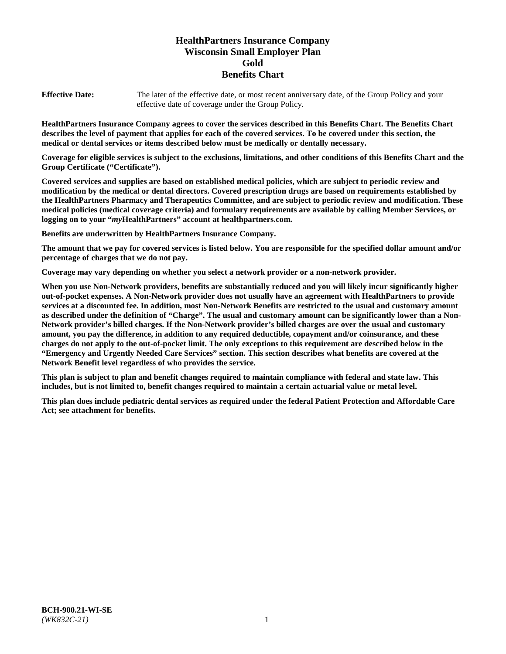# **HealthPartners Insurance Company Wisconsin Small Employer Plan Gold Benefits Chart**

**Effective Date:** The later of the effective date, or most recent anniversary date, of the Group Policy and your effective date of coverage under the Group Policy.

**HealthPartners Insurance Company agrees to cover the services described in this Benefits Chart. The Benefits Chart describes the level of payment that applies for each of the covered services. To be covered under this section, the medical or dental services or items described below must be medically or dentally necessary.**

**Coverage for eligible services is subject to the exclusions, limitations, and other conditions of this Benefits Chart and the Group Certificate ("Certificate").**

**Covered services and supplies are based on established medical policies, which are subject to periodic review and modification by the medical or dental directors. Covered prescription drugs are based on requirements established by the HealthPartners Pharmacy and Therapeutics Committee, and are subject to periodic review and modification. These medical policies (medical coverage criteria) and formulary requirements are available by calling Member Services, or logging on to your "***my***HealthPartners" account at [healthpartners.com.](https://www.healthpartners.com/hp/index.html)**

**Benefits are underwritten by HealthPartners Insurance Company.**

**The amount that we pay for covered services is listed below. You are responsible for the specified dollar amount and/or percentage of charges that we do not pay.**

**Coverage may vary depending on whether you select a network provider or a non-network provider.**

**When you use Non-Network providers, benefits are substantially reduced and you will likely incur significantly higher out-of-pocket expenses. A Non-Network provider does not usually have an agreement with HealthPartners to provide services at a discounted fee. In addition, most Non-Network Benefits are restricted to the usual and customary amount as described under the definition of "Charge". The usual and customary amount can be significantly lower than a Non-Network provider's billed charges. If the Non-Network provider's billed charges are over the usual and customary amount, you pay the difference, in addition to any required deductible, copayment and/or coinsurance, and these charges do not apply to the out-of-pocket limit. The only exceptions to this requirement are described below in the "Emergency and Urgently Needed Care Services" section. This section describes what benefits are covered at the Network Benefit level regardless of who provides the service.**

**This plan is subject to plan and benefit changes required to maintain compliance with federal and state law. This includes, but is not limited to, benefit changes required to maintain a certain actuarial value or metal level.**

**This plan does include pediatric dental services as required under the federal Patient Protection and Affordable Care Act; see attachment for benefits.**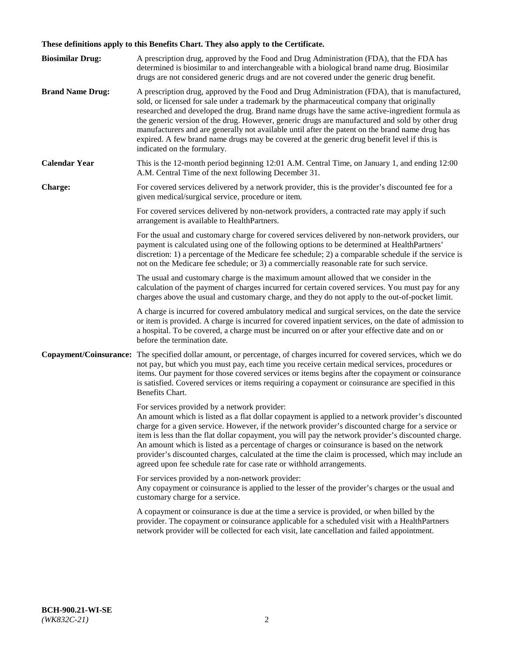# **These definitions apply to this Benefits Chart. They also apply to the Certificate.**

| <b>Biosimilar Drug:</b> | A prescription drug, approved by the Food and Drug Administration (FDA), that the FDA has<br>determined is biosimilar to and interchangeable with a biological brand name drug. Biosimilar<br>drugs are not considered generic drugs and are not covered under the generic drug benefit.                                                                                                                                                                                                                                                                                                                                                     |
|-------------------------|----------------------------------------------------------------------------------------------------------------------------------------------------------------------------------------------------------------------------------------------------------------------------------------------------------------------------------------------------------------------------------------------------------------------------------------------------------------------------------------------------------------------------------------------------------------------------------------------------------------------------------------------|
| <b>Brand Name Drug:</b> | A prescription drug, approved by the Food and Drug Administration (FDA), that is manufactured,<br>sold, or licensed for sale under a trademark by the pharmaceutical company that originally<br>researched and developed the drug. Brand name drugs have the same active-ingredient formula as<br>the generic version of the drug. However, generic drugs are manufactured and sold by other drug<br>manufacturers and are generally not available until after the patent on the brand name drug has<br>expired. A few brand name drugs may be covered at the generic drug benefit level if this is<br>indicated on the formulary.           |
| <b>Calendar Year</b>    | This is the 12-month period beginning 12:01 A.M. Central Time, on January 1, and ending 12:00<br>A.M. Central Time of the next following December 31.                                                                                                                                                                                                                                                                                                                                                                                                                                                                                        |
| <b>Charge:</b>          | For covered services delivered by a network provider, this is the provider's discounted fee for a<br>given medical/surgical service, procedure or item.                                                                                                                                                                                                                                                                                                                                                                                                                                                                                      |
|                         | For covered services delivered by non-network providers, a contracted rate may apply if such<br>arrangement is available to HealthPartners.                                                                                                                                                                                                                                                                                                                                                                                                                                                                                                  |
|                         | For the usual and customary charge for covered services delivered by non-network providers, our<br>payment is calculated using one of the following options to be determined at HealthPartners'<br>discretion: 1) a percentage of the Medicare fee schedule; 2) a comparable schedule if the service is<br>not on the Medicare fee schedule; or 3) a commercially reasonable rate for such service.                                                                                                                                                                                                                                          |
|                         | The usual and customary charge is the maximum amount allowed that we consider in the<br>calculation of the payment of charges incurred for certain covered services. You must pay for any<br>charges above the usual and customary charge, and they do not apply to the out-of-pocket limit.                                                                                                                                                                                                                                                                                                                                                 |
|                         | A charge is incurred for covered ambulatory medical and surgical services, on the date the service<br>or item is provided. A charge is incurred for covered inpatient services, on the date of admission to<br>a hospital. To be covered, a charge must be incurred on or after your effective date and on or<br>before the termination date.                                                                                                                                                                                                                                                                                                |
| Copayment/Coinsurance:  | The specified dollar amount, or percentage, of charges incurred for covered services, which we do<br>not pay, but which you must pay, each time you receive certain medical services, procedures or<br>items. Our payment for those covered services or items begins after the copayment or coinsurance<br>is satisfied. Covered services or items requiring a copayment or coinsurance are specified in this<br>Benefits Chart.                                                                                                                                                                                                             |
|                         | For services provided by a network provider:<br>An amount which is listed as a flat dollar copayment is applied to a network provider's discounted<br>charge for a given service. However, if the network provider's discounted charge for a service or<br>item is less than the flat dollar copayment, you will pay the network provider's discounted charge.<br>An amount which is listed as a percentage of charges or coinsurance is based on the network<br>provider's discounted charges, calculated at the time the claim is processed, which may include an<br>agreed upon fee schedule rate for case rate or withhold arrangements. |
|                         | For services provided by a non-network provider:<br>Any copayment or coinsurance is applied to the lesser of the provider's charges or the usual and<br>customary charge for a service.                                                                                                                                                                                                                                                                                                                                                                                                                                                      |
|                         | A copayment or coinsurance is due at the time a service is provided, or when billed by the<br>provider. The copayment or coinsurance applicable for a scheduled visit with a HealthPartners<br>network provider will be collected for each visit, late cancellation and failed appointment.                                                                                                                                                                                                                                                                                                                                                  |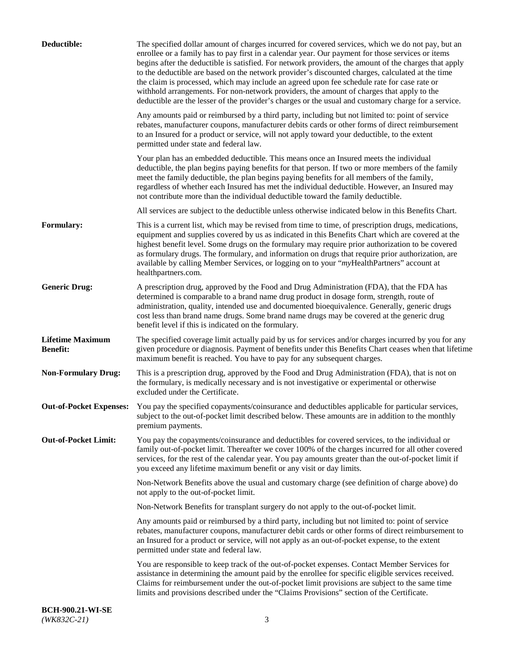| Deductible:                                | The specified dollar amount of charges incurred for covered services, which we do not pay, but an<br>enrollee or a family has to pay first in a calendar year. Our payment for those services or items<br>begins after the deductible is satisfied. For network providers, the amount of the charges that apply<br>to the deductible are based on the network provider's discounted charges, calculated at the time<br>the claim is processed, which may include an agreed upon fee schedule rate for case rate or<br>withhold arrangements. For non-network providers, the amount of charges that apply to the<br>deductible are the lesser of the provider's charges or the usual and customary charge for a service. |
|--------------------------------------------|-------------------------------------------------------------------------------------------------------------------------------------------------------------------------------------------------------------------------------------------------------------------------------------------------------------------------------------------------------------------------------------------------------------------------------------------------------------------------------------------------------------------------------------------------------------------------------------------------------------------------------------------------------------------------------------------------------------------------|
|                                            | Any amounts paid or reimbursed by a third party, including but not limited to: point of service<br>rebates, manufacturer coupons, manufacturer debits cards or other forms of direct reimbursement<br>to an Insured for a product or service, will not apply toward your deductible, to the extent<br>permitted under state and federal law.                                                                                                                                                                                                                                                                                                                                                                            |
|                                            | Your plan has an embedded deductible. This means once an Insured meets the individual<br>deductible, the plan begins paying benefits for that person. If two or more members of the family<br>meet the family deductible, the plan begins paying benefits for all members of the family,<br>regardless of whether each Insured has met the individual deductible. However, an Insured may<br>not contribute more than the individual deductible toward the family deductible.                                                                                                                                                                                                                                           |
|                                            | All services are subject to the deductible unless otherwise indicated below in this Benefits Chart.                                                                                                                                                                                                                                                                                                                                                                                                                                                                                                                                                                                                                     |
| <b>Formulary:</b>                          | This is a current list, which may be revised from time to time, of prescription drugs, medications,<br>equipment and supplies covered by us as indicated in this Benefits Chart which are covered at the<br>highest benefit level. Some drugs on the formulary may require prior authorization to be covered<br>as formulary drugs. The formulary, and information on drugs that require prior authorization, are<br>available by calling Member Services, or logging on to your "myHealthPartners" account at<br>healthpartners.com.                                                                                                                                                                                   |
| <b>Generic Drug:</b>                       | A prescription drug, approved by the Food and Drug Administration (FDA), that the FDA has<br>determined is comparable to a brand name drug product in dosage form, strength, route of<br>administration, quality, intended use and documented bioequivalence. Generally, generic drugs<br>cost less than brand name drugs. Some brand name drugs may be covered at the generic drug<br>benefit level if this is indicated on the formulary.                                                                                                                                                                                                                                                                             |
| <b>Lifetime Maximum</b><br><b>Benefit:</b> | The specified coverage limit actually paid by us for services and/or charges incurred by you for any<br>given procedure or diagnosis. Payment of benefits under this Benefits Chart ceases when that lifetime<br>maximum benefit is reached. You have to pay for any subsequent charges.                                                                                                                                                                                                                                                                                                                                                                                                                                |
| <b>Non-Formulary Drug:</b>                 | This is a prescription drug, approved by the Food and Drug Administration (FDA), that is not on<br>the formulary, is medically necessary and is not investigative or experimental or otherwise<br>excluded under the Certificate.                                                                                                                                                                                                                                                                                                                                                                                                                                                                                       |
|                                            | Out-of-Pocket Expenses: You pay the specified copayments/coinsurance and deductibles applicable for particular services,<br>subject to the out-of-pocket limit described below. These amounts are in addition to the monthly<br>premium payments.                                                                                                                                                                                                                                                                                                                                                                                                                                                                       |
| <b>Out-of-Pocket Limit:</b>                | You pay the copayments/coinsurance and deductibles for covered services, to the individual or<br>family out-of-pocket limit. Thereafter we cover 100% of the charges incurred for all other covered<br>services, for the rest of the calendar year. You pay amounts greater than the out-of-pocket limit if<br>you exceed any lifetime maximum benefit or any visit or day limits.                                                                                                                                                                                                                                                                                                                                      |
|                                            | Non-Network Benefits above the usual and customary charge (see definition of charge above) do<br>not apply to the out-of-pocket limit.                                                                                                                                                                                                                                                                                                                                                                                                                                                                                                                                                                                  |
|                                            | Non-Network Benefits for transplant surgery do not apply to the out-of-pocket limit.                                                                                                                                                                                                                                                                                                                                                                                                                                                                                                                                                                                                                                    |
|                                            | Any amounts paid or reimbursed by a third party, including but not limited to: point of service<br>rebates, manufacturer coupons, manufacturer debit cards or other forms of direct reimbursement to<br>an Insured for a product or service, will not apply as an out-of-pocket expense, to the extent<br>permitted under state and federal law.                                                                                                                                                                                                                                                                                                                                                                        |
|                                            | You are responsible to keep track of the out-of-pocket expenses. Contact Member Services for<br>assistance in determining the amount paid by the enrollee for specific eligible services received.<br>Claims for reimbursement under the out-of-pocket limit provisions are subject to the same time<br>limits and provisions described under the "Claims Provisions" section of the Certificate.                                                                                                                                                                                                                                                                                                                       |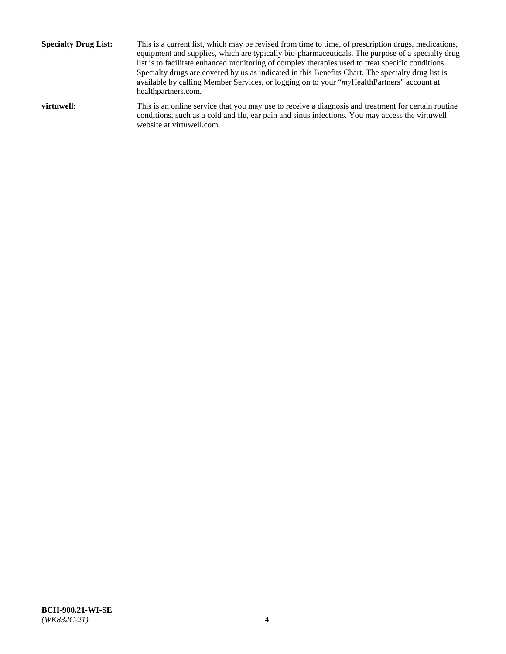**Specialty Drug List:** This is a current list, which may be revised from time to time, of prescription drugs, medications, equipment and supplies, which are typically bio-pharmaceuticals. The purpose of a specialty drug list is to facilitate enhanced monitoring of complex therapies used to treat specific conditions. Specialty drugs are covered by us as indicated in this Benefits Chart. The specialty drug list is available by calling Member Services, or logging on to your "*my*HealthPartners" account at [healthpartners.com.](http://www.healthpartners.com/) **virtuwell:** This is an online service that you may use to receive a diagnosis and treatment for certain routine conditions, such as a cold and flu, ear pain and sinus infections. You may access the virtuwell

website at [virtuwell.com.](http://www.virtuwell.com/)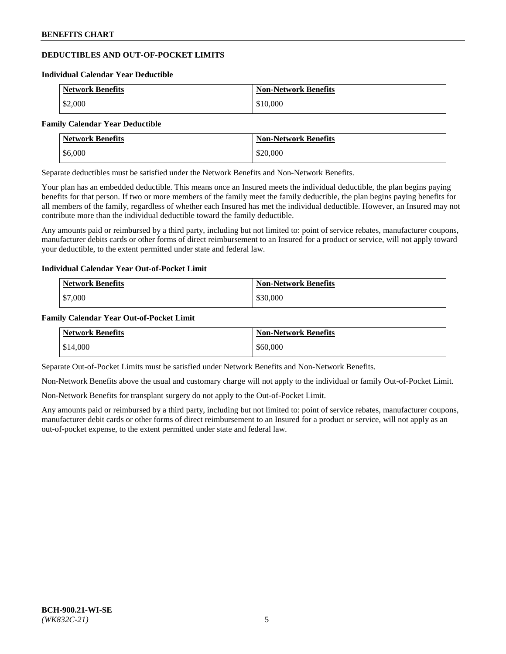# **DEDUCTIBLES AND OUT-OF-POCKET LIMITS**

#### **Individual Calendar Year Deductible**

| <b>Network Benefits</b> | <b>Non-Network Benefits</b> |
|-------------------------|-----------------------------|
| \$2,000                 | \$10,000                    |

#### **Family Calendar Year Deductible**

| Network Benefits | <b>Non-Network Benefits</b> |
|------------------|-----------------------------|
| \$6,000          | \$20,000                    |

Separate deductibles must be satisfied under the Network Benefits and Non-Network Benefits.

Your plan has an embedded deductible. This means once an Insured meets the individual deductible, the plan begins paying benefits for that person. If two or more members of the family meet the family deductible, the plan begins paying benefits for all members of the family, regardless of whether each Insured has met the individual deductible. However, an Insured may not contribute more than the individual deductible toward the family deductible.

Any amounts paid or reimbursed by a third party, including but not limited to: point of service rebates, manufacturer coupons, manufacturer debits cards or other forms of direct reimbursement to an Insured for a product or service, will not apply toward your deductible, to the extent permitted under state and federal law.

#### **Individual Calendar Year Out-of-Pocket Limit**

| <b>Network Benefits</b> | <b>Non-Network Benefits</b> |
|-------------------------|-----------------------------|
| \$7,000                 | \$30,000                    |

#### **Family Calendar Year Out-of-Pocket Limit**

| <b>Network Benefits</b> | Non-Network Benefits |
|-------------------------|----------------------|
| \$14,000                | \$60,000             |

Separate Out-of-Pocket Limits must be satisfied under Network Benefits and Non-Network Benefits.

Non-Network Benefits above the usual and customary charge will not apply to the individual or family Out-of-Pocket Limit.

Non-Network Benefits for transplant surgery do not apply to the Out-of-Pocket Limit.

Any amounts paid or reimbursed by a third party, including but not limited to: point of service rebates, manufacturer coupons, manufacturer debit cards or other forms of direct reimbursement to an Insured for a product or service, will not apply as an out-of-pocket expense, to the extent permitted under state and federal law.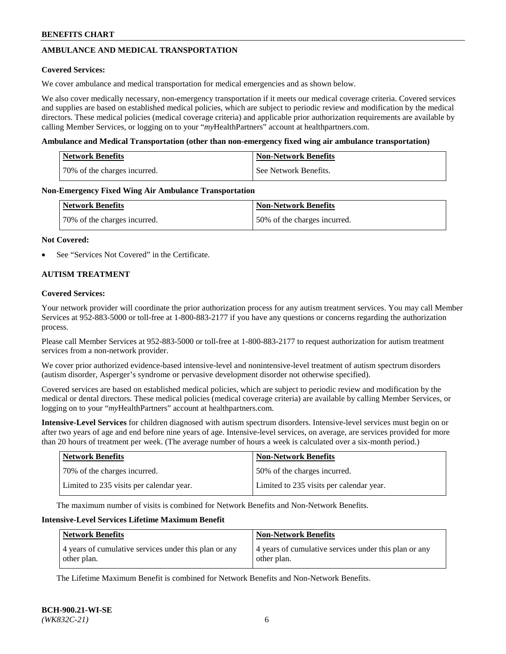# **AMBULANCE AND MEDICAL TRANSPORTATION**

### **Covered Services:**

We cover ambulance and medical transportation for medical emergencies and as shown below.

We also cover medically necessary, non-emergency transportation if it meets our medical coverage criteria. Covered services and supplies are based on established medical policies, which are subject to periodic review and modification by the medical directors. These medical policies (medical coverage criteria) and applicable prior authorization requirements are available by calling Member Services, or logging on to your "*my*HealthPartners" account a[t healthpartners.com.](https://www.healthpartners.com/hp/index.html)

### **Ambulance and Medical Transportation (other than non-emergency fixed wing air ambulance transportation)**

| <b>Network Benefits</b>      | <b>Non-Network Benefits</b> |
|------------------------------|-----------------------------|
| 70% of the charges incurred. | See Network Benefits.       |

### **Non-Emergency Fixed Wing Air Ambulance Transportation**

| <b>Network Benefits</b>      | <b>Non-Network Benefits</b>  |
|------------------------------|------------------------------|
| 70% of the charges incurred. | 50% of the charges incurred. |

### **Not Covered:**

See "Services Not Covered" in the Certificate.

# **AUTISM TREATMENT**

### **Covered Services:**

Your network provider will coordinate the prior authorization process for any autism treatment services. You may call Member Services at 952-883-5000 or toll-free at 1-800-883-2177 if you have any questions or concerns regarding the authorization process.

Please call Member Services at 952-883-5000 or toll-free at 1-800-883-2177 to request authorization for autism treatment services from a non-network provider.

We cover prior authorized evidence-based intensive-level and nonintensive-level treatment of autism spectrum disorders (autism disorder, Asperger's syndrome or pervasive development disorder not otherwise specified).

Covered services are based on established medical policies, which are subject to periodic review and modification by the medical or dental directors. These medical policies (medical coverage criteria) are available by calling Member Services, or logging on to your "*my*HealthPartners" account at [healthpartners.com.](https://www.healthpartners.com/hp/index.html)

**Intensive-Level Services** for children diagnosed with autism spectrum disorders. Intensive-level services must begin on or after two years of age and end before nine years of age. Intensive-level services, on average, are services provided for more than 20 hours of treatment per week. (The average number of hours a week is calculated over a six-month period.)

| Network Benefits                         | <b>Non-Network Benefits</b>              |
|------------------------------------------|------------------------------------------|
| 70% of the charges incurred.             | 50% of the charges incurred.             |
| Limited to 235 visits per calendar year. | Limited to 235 visits per calendar year. |

The maximum number of visits is combined for Network Benefits and Non-Network Benefits.

### **Intensive-Level Services Lifetime Maximum Benefit**

| <b>Network Benefits</b>                                              | <b>Non-Network Benefits</b>                                          |
|----------------------------------------------------------------------|----------------------------------------------------------------------|
| 4 years of cumulative services under this plan or any<br>other plan. | 4 years of cumulative services under this plan or any<br>other plan. |

The Lifetime Maximum Benefit is combined for Network Benefits and Non-Network Benefits.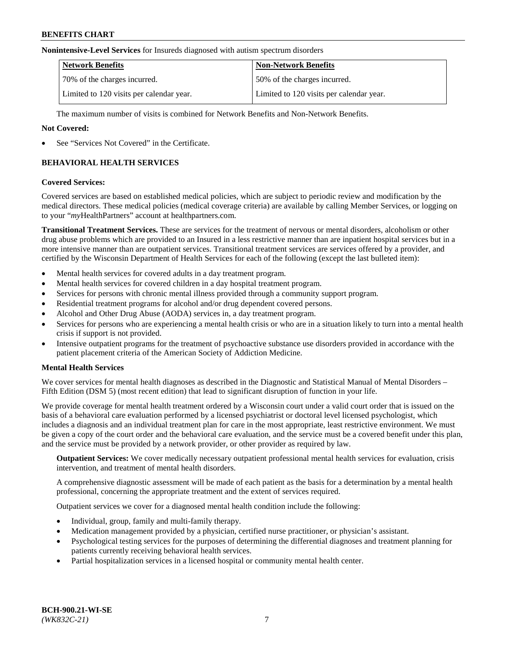#### **Nonintensive-Level Services** for Insureds diagnosed with autism spectrum disorders

| <b>Network Benefits</b>                  | <b>Non-Network Benefits</b>              |
|------------------------------------------|------------------------------------------|
| 70% of the charges incurred.             | 50% of the charges incurred.             |
| Limited to 120 visits per calendar year. | Limited to 120 visits per calendar year. |

The maximum number of visits is combined for Network Benefits and Non-Network Benefits.

### **Not Covered:**

See "Services Not Covered" in the Certificate.

# **BEHAVIORAL HEALTH SERVICES**

### **Covered Services:**

Covered services are based on established medical policies, which are subject to periodic review and modification by the medical directors. These medical policies (medical coverage criteria) are available by calling Member Services, or logging on to your "*my*HealthPartners" account at [healthpartners.com.](https://www.healthpartners.com/hp/index.html)

**Transitional Treatment Services.** These are services for the treatment of nervous or mental disorders, alcoholism or other drug abuse problems which are provided to an Insured in a less restrictive manner than are inpatient hospital services but in a more intensive manner than are outpatient services. Transitional treatment services are services offered by a provider, and certified by the Wisconsin Department of Health Services for each of the following (except the last bulleted item):

- Mental health services for covered adults in a day treatment program.
- Mental health services for covered children in a day hospital treatment program.
- Services for persons with chronic mental illness provided through a community support program.
- Residential treatment programs for alcohol and/or drug dependent covered persons.
- Alcohol and Other Drug Abuse (AODA) services in, a day treatment program.
- Services for persons who are experiencing a mental health crisis or who are in a situation likely to turn into a mental health crisis if support is not provided.
- Intensive outpatient programs for the treatment of psychoactive substance use disorders provided in accordance with the patient placement criteria of the American Society of Addiction Medicine.

# **Mental Health Services**

We cover services for mental health diagnoses as described in the Diagnostic and Statistical Manual of Mental Disorders – Fifth Edition (DSM 5) (most recent edition) that lead to significant disruption of function in your life.

We provide coverage for mental health treatment ordered by a Wisconsin court under a valid court order that is issued on the basis of a behavioral care evaluation performed by a licensed psychiatrist or doctoral level licensed psychologist, which includes a diagnosis and an individual treatment plan for care in the most appropriate, least restrictive environment. We must be given a copy of the court order and the behavioral care evaluation, and the service must be a covered benefit under this plan, and the service must be provided by a network provider, or other provider as required by law.

**Outpatient Services:** We cover medically necessary outpatient professional mental health services for evaluation, crisis intervention, and treatment of mental health disorders.

A comprehensive diagnostic assessment will be made of each patient as the basis for a determination by a mental health professional, concerning the appropriate treatment and the extent of services required.

Outpatient services we cover for a diagnosed mental health condition include the following:

- Individual, group, family and multi-family therapy.
- Medication management provided by a physician, certified nurse practitioner, or physician's assistant.
- Psychological testing services for the purposes of determining the differential diagnoses and treatment planning for patients currently receiving behavioral health services.
- Partial hospitalization services in a licensed hospital or community mental health center.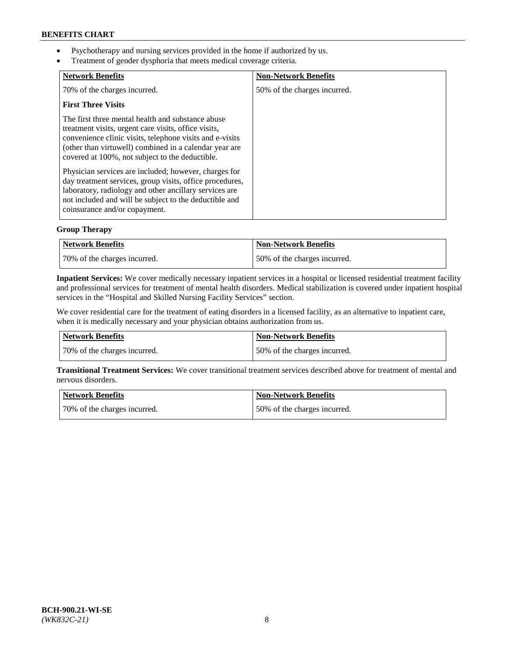- Psychotherapy and nursing services provided in the home if authorized by us.
- Treatment of gender dysphoria that meets medical coverage criteria.

| <b>Network Benefits</b>                                                                                                                                                                                                                                                            | <b>Non-Network Benefits</b>  |
|------------------------------------------------------------------------------------------------------------------------------------------------------------------------------------------------------------------------------------------------------------------------------------|------------------------------|
| 70% of the charges incurred.                                                                                                                                                                                                                                                       | 50% of the charges incurred. |
| <b>First Three Visits</b>                                                                                                                                                                                                                                                          |                              |
| The first three mental health and substance abuse<br>treatment visits, urgent care visits, office visits,<br>convenience clinic visits, telephone visits and e-visits<br>(other than virtuwell) combined in a calendar year are<br>covered at 100%, not subject to the deductible. |                              |
| Physician services are included; however, charges for<br>day treatment services, group visits, office procedures,<br>laboratory, radiology and other ancillary services are<br>not included and will be subject to the deductible and<br>coinsurance and/or copayment.             |                              |

# **Group Therapy**

| Network Benefits             | Non-Network Benefits         |
|------------------------------|------------------------------|
| 70% of the charges incurred. | 50% of the charges incurred. |

**Inpatient Services:** We cover medically necessary inpatient services in a hospital or licensed residential treatment facility and professional services for treatment of mental health disorders. Medical stabilization is covered under inpatient hospital services in the "Hospital and Skilled Nursing Facility Services" section.

We cover residential care for the treatment of eating disorders in a licensed facility, as an alternative to inpatient care, when it is medically necessary and your physician obtains authorization from us.

| Network Benefits             | <b>Non-Network Benefits</b>  |
|------------------------------|------------------------------|
| 70% of the charges incurred. | 50% of the charges incurred. |

**Transitional Treatment Services:** We cover transitional treatment services described above for treatment of mental and nervous disorders.

| Network Benefits             | Non-Network Benefits         |
|------------------------------|------------------------------|
| 70% of the charges incurred. | 50% of the charges incurred. |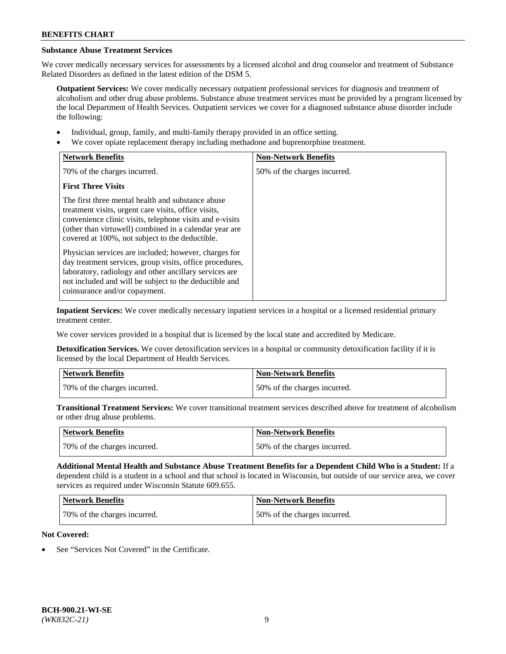# **Substance Abuse Treatment Services**

We cover medically necessary services for assessments by a licensed alcohol and drug counselor and treatment of Substance Related Disorders as defined in the latest edition of the DSM 5.

**Outpatient Services:** We cover medically necessary outpatient professional services for diagnosis and treatment of alcoholism and other drug abuse problems. Substance abuse treatment services must be provided by a program licensed by the local Department of Health Services. Outpatient services we cover for a diagnosed substance abuse disorder include the following:

- Individual, group, family, and multi-family therapy provided in an office setting.
- We cover opiate replacement therapy including methadone and buprenorphine treatment.

| <b>Network Benefits</b>                                                                                                                                                                                                                                                            | <b>Non-Network Benefits</b>  |
|------------------------------------------------------------------------------------------------------------------------------------------------------------------------------------------------------------------------------------------------------------------------------------|------------------------------|
| 70% of the charges incurred.                                                                                                                                                                                                                                                       | 50% of the charges incurred. |
| <b>First Three Visits</b>                                                                                                                                                                                                                                                          |                              |
| The first three mental health and substance abuse<br>treatment visits, urgent care visits, office visits,<br>convenience clinic visits, telephone visits and e-visits<br>(other than virtuwell) combined in a calendar year are<br>covered at 100%, not subject to the deductible. |                              |
| Physician services are included; however, charges for<br>day treatment services, group visits, office procedures,<br>laboratory, radiology and other ancillary services are<br>not included and will be subject to the deductible and<br>coinsurance and/or copayment.             |                              |

**Inpatient Services:** We cover medically necessary inpatient services in a hospital or a licensed residential primary treatment center.

We cover services provided in a hospital that is licensed by the local state and accredited by Medicare.

**Detoxification Services.** We cover detoxification services in a hospital or community detoxification facility if it is licensed by the local Department of Health Services.

| Network Benefits             | <b>Non-Network Benefits</b>  |
|------------------------------|------------------------------|
| 70% of the charges incurred. | 50% of the charges incurred. |

**Transitional Treatment Services:** We cover transitional treatment services described above for treatment of alcoholism or other drug abuse problems.

| <b>Network Benefits</b>      | Non-Network Benefits         |
|------------------------------|------------------------------|
| 70% of the charges incurred. | 50% of the charges incurred. |

**Additional Mental Health and Substance Abuse Treatment Benefits for a Dependent Child Who is a Student:** If a dependent child is a student in a school and that school is located in Wisconsin, but outside of our service area, we cover services as required under Wisconsin Statute 609.655.

| Network Benefits             | <b>Non-Network Benefits</b>  |
|------------------------------|------------------------------|
| 70% of the charges incurred. | 50% of the charges incurred. |

# **Not Covered:**

See "Services Not Covered" in the Certificate.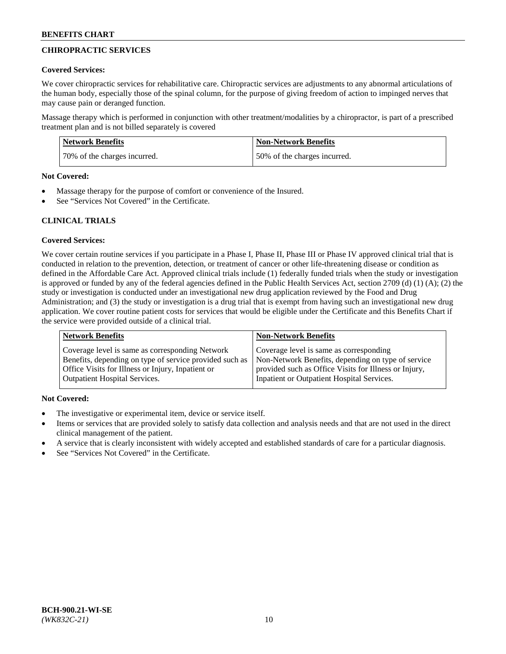# **CHIROPRACTIC SERVICES**

### **Covered Services:**

We cover chiropractic services for rehabilitative care. Chiropractic services are adjustments to any abnormal articulations of the human body, especially those of the spinal column, for the purpose of giving freedom of action to impinged nerves that may cause pain or deranged function.

Massage therapy which is performed in conjunction with other treatment/modalities by a chiropractor, is part of a prescribed treatment plan and is not billed separately is covered

| <b>Network Benefits</b>      | <b>Non-Network Benefits</b>  |
|------------------------------|------------------------------|
| 70% of the charges incurred. | 50% of the charges incurred. |

#### **Not Covered:**

- Massage therapy for the purpose of comfort or convenience of the Insured.
- See "Services Not Covered" in the Certificate.

# **CLINICAL TRIALS**

# **Covered Services:**

We cover certain routine services if you participate in a Phase I, Phase II, Phase III or Phase IV approved clinical trial that is conducted in relation to the prevention, detection, or treatment of cancer or other life-threatening disease or condition as defined in the Affordable Care Act. Approved clinical trials include (1) federally funded trials when the study or investigation is approved or funded by any of the federal agencies defined in the Public Health Services Act, section 2709 (d) (1) (A); (2) the study or investigation is conducted under an investigational new drug application reviewed by the Food and Drug Administration; and (3) the study or investigation is a drug trial that is exempt from having such an investigational new drug application. We cover routine patient costs for services that would be eligible under the Certificate and this Benefits Chart if the service were provided outside of a clinical trial.

| <b>Network Benefits</b>                                 | <b>Non-Network Benefits</b>                           |
|---------------------------------------------------------|-------------------------------------------------------|
| Coverage level is same as corresponding Network         | Coverage level is same as corresponding               |
| Benefits, depending on type of service provided such as | Non-Network Benefits, depending on type of service    |
| Office Visits for Illness or Injury, Inpatient or       | provided such as Office Visits for Illness or Injury, |
| <b>Outpatient Hospital Services.</b>                    | Inpatient or Outpatient Hospital Services.            |

# **Not Covered:**

- The investigative or experimental item, device or service itself.
- Items or services that are provided solely to satisfy data collection and analysis needs and that are not used in the direct clinical management of the patient.
- A service that is clearly inconsistent with widely accepted and established standards of care for a particular diagnosis.
- See "Services Not Covered" in the Certificate.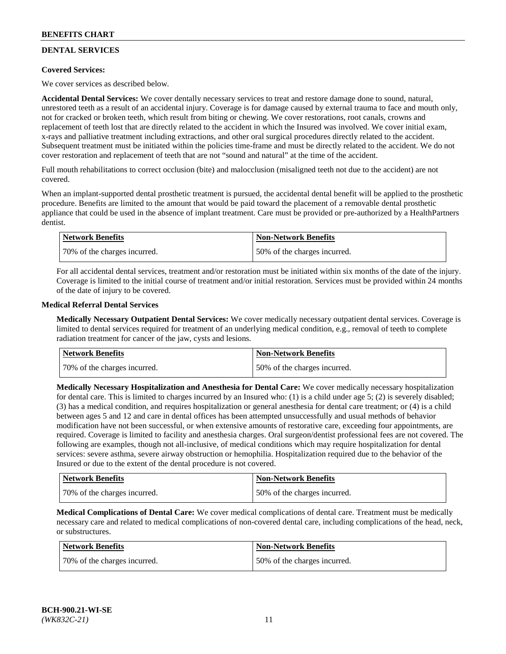# **DENTAL SERVICES**

# **Covered Services:**

We cover services as described below.

**Accidental Dental Services:** We cover dentally necessary services to treat and restore damage done to sound, natural, unrestored teeth as a result of an accidental injury. Coverage is for damage caused by external trauma to face and mouth only, not for cracked or broken teeth, which result from biting or chewing. We cover restorations, root canals, crowns and replacement of teeth lost that are directly related to the accident in which the Insured was involved. We cover initial exam, x-rays and palliative treatment including extractions, and other oral surgical procedures directly related to the accident. Subsequent treatment must be initiated within the policies time-frame and must be directly related to the accident. We do not cover restoration and replacement of teeth that are not "sound and natural" at the time of the accident.

Full mouth rehabilitations to correct occlusion (bite) and malocclusion (misaligned teeth not due to the accident) are not covered.

When an implant-supported dental prosthetic treatment is pursued, the accidental dental benefit will be applied to the prosthetic procedure. Benefits are limited to the amount that would be paid toward the placement of a removable dental prosthetic appliance that could be used in the absence of implant treatment. Care must be provided or pre-authorized by a HealthPartners dentist.

| Network Benefits             | <b>Non-Network Benefits</b>  |
|------------------------------|------------------------------|
| 70% of the charges incurred. | 50% of the charges incurred. |

For all accidental dental services, treatment and/or restoration must be initiated within six months of the date of the injury. Coverage is limited to the initial course of treatment and/or initial restoration. Services must be provided within 24 months of the date of injury to be covered.

### **Medical Referral Dental Services**

**Medically Necessary Outpatient Dental Services:** We cover medically necessary outpatient dental services. Coverage is limited to dental services required for treatment of an underlying medical condition, e.g., removal of teeth to complete radiation treatment for cancer of the jaw, cysts and lesions.

| <b>Network Benefits</b>      | <b>Non-Network Benefits</b>  |
|------------------------------|------------------------------|
| 70% of the charges incurred. | 50% of the charges incurred. |

**Medically Necessary Hospitalization and Anesthesia for Dental Care:** We cover medically necessary hospitalization for dental care. This is limited to charges incurred by an Insured who: (1) is a child under age  $5$ ; (2) is severely disabled; (3) has a medical condition, and requires hospitalization or general anesthesia for dental care treatment; or (4) is a child between ages 5 and 12 and care in dental offices has been attempted unsuccessfully and usual methods of behavior modification have not been successful, or when extensive amounts of restorative care, exceeding four appointments, are required. Coverage is limited to facility and anesthesia charges. Oral surgeon/dentist professional fees are not covered. The following are examples, though not all-inclusive, of medical conditions which may require hospitalization for dental services: severe asthma, severe airway obstruction or hemophilia. Hospitalization required due to the behavior of the Insured or due to the extent of the dental procedure is not covered.

| Network Benefits             | <b>Non-Network Benefits</b>  |
|------------------------------|------------------------------|
| 70% of the charges incurred. | 50% of the charges incurred. |

**Medical Complications of Dental Care:** We cover medical complications of dental care. Treatment must be medically necessary care and related to medical complications of non-covered dental care, including complications of the head, neck, or substructures.

| Network Benefits             | <b>Non-Network Benefits</b>  |
|------------------------------|------------------------------|
| 70% of the charges incurred. | 50% of the charges incurred. |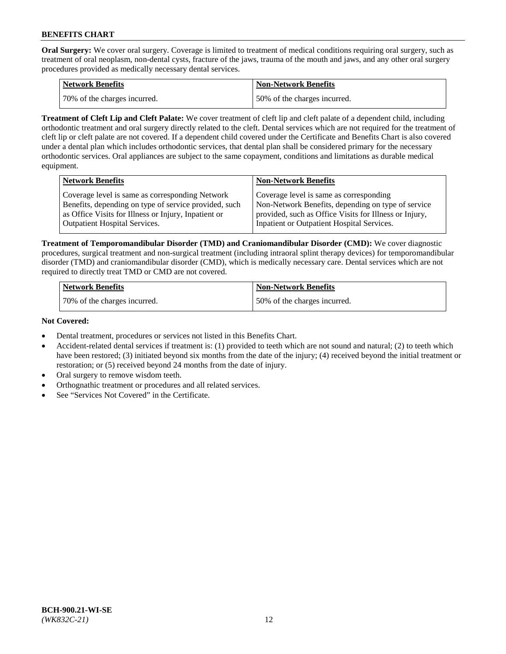**Oral Surgery:** We cover oral surgery. Coverage is limited to treatment of medical conditions requiring oral surgery, such as treatment of oral neoplasm, non-dental cysts, fracture of the jaws, trauma of the mouth and jaws, and any other oral surgery procedures provided as medically necessary dental services.

| <b>Network Benefits</b>       | <b>Non-Network Benefits</b>  |
|-------------------------------|------------------------------|
| 170% of the charges incurred. | 50% of the charges incurred. |

**Treatment of Cleft Lip and Cleft Palate:** We cover treatment of cleft lip and cleft palate of a dependent child, including orthodontic treatment and oral surgery directly related to the cleft. Dental services which are not required for the treatment of cleft lip or cleft palate are not covered. If a dependent child covered under the Certificate and Benefits Chart is also covered under a dental plan which includes orthodontic services, that dental plan shall be considered primary for the necessary orthodontic services. Oral appliances are subject to the same copayment, conditions and limitations as durable medical equipment.

| <b>Network Benefits</b>                               | <b>Non-Network Benefits</b>                            |
|-------------------------------------------------------|--------------------------------------------------------|
| Coverage level is same as corresponding Network       | Coverage level is same as corresponding                |
| Benefits, depending on type of service provided, such | Non-Network Benefits, depending on type of service     |
| as Office Visits for Illness or Injury, Inpatient or  | provided, such as Office Visits for Illness or Injury, |
| Outpatient Hospital Services.                         | Inpatient or Outpatient Hospital Services.             |

**Treatment of Temporomandibular Disorder (TMD) and Craniomandibular Disorder (CMD):** We cover diagnostic procedures, surgical treatment and non-surgical treatment (including intraoral splint therapy devices) for temporomandibular disorder (TMD) and craniomandibular disorder (CMD), which is medically necessary care. Dental services which are not required to directly treat TMD or CMD are not covered.

| <b>Network Benefits</b>      | <b>Non-Network Benefits</b>  |
|------------------------------|------------------------------|
| 70% of the charges incurred. | 50% of the charges incurred. |

### **Not Covered:**

- Dental treatment, procedures or services not listed in this Benefits Chart.
- Accident-related dental services if treatment is: (1) provided to teeth which are not sound and natural; (2) to teeth which have been restored; (3) initiated beyond six months from the date of the injury; (4) received beyond the initial treatment or restoration; or (5) received beyond 24 months from the date of injury.
- Oral surgery to remove wisdom teeth.
- Orthognathic treatment or procedures and all related services.
- See "Services Not Covered" in the Certificate.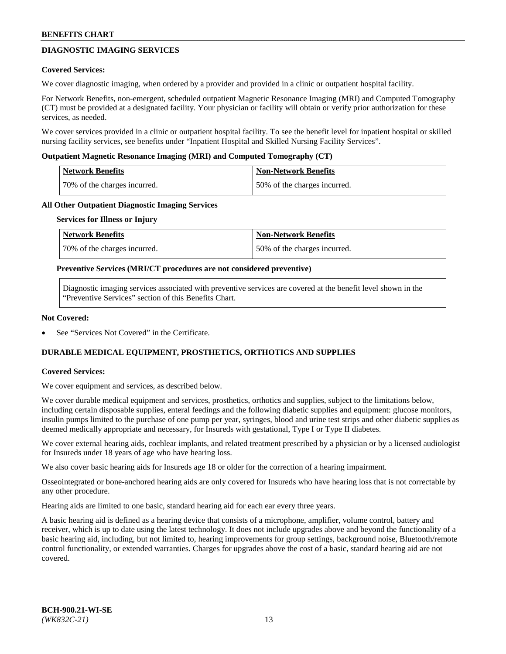# **DIAGNOSTIC IMAGING SERVICES**

### **Covered Services:**

We cover diagnostic imaging, when ordered by a provider and provided in a clinic or outpatient hospital facility.

For Network Benefits, non-emergent, scheduled outpatient Magnetic Resonance Imaging (MRI) and Computed Tomography (CT) must be provided at a designated facility. Your physician or facility will obtain or verify prior authorization for these services, as needed.

We cover services provided in a clinic or outpatient hospital facility. To see the benefit level for inpatient hospital or skilled nursing facility services, see benefits under "Inpatient Hospital and Skilled Nursing Facility Services".

### **Outpatient Magnetic Resonance Imaging (MRI) and Computed Tomography (CT)**

| <b>Network Benefits</b>      | <b>Non-Network Benefits</b>  |
|------------------------------|------------------------------|
| 70% of the charges incurred. | 50% of the charges incurred. |

### **All Other Outpatient Diagnostic Imaging Services**

#### **Services for Illness or Injury**

| Network Benefits             | <b>Non-Network Benefits</b>  |
|------------------------------|------------------------------|
| 70% of the charges incurred. | 50% of the charges incurred. |

### **Preventive Services (MRI/CT procedures are not considered preventive)**

Diagnostic imaging services associated with preventive services are covered at the benefit level shown in the "Preventive Services" section of this Benefits Chart.

### **Not Covered:**

See "Services Not Covered" in the Certificate.

# **DURABLE MEDICAL EQUIPMENT, PROSTHETICS, ORTHOTICS AND SUPPLIES**

#### **Covered Services:**

We cover equipment and services, as described below.

We cover durable medical equipment and services, prosthetics, orthotics and supplies, subject to the limitations below, including certain disposable supplies, enteral feedings and the following diabetic supplies and equipment: glucose monitors, insulin pumps limited to the purchase of one pump per year, syringes, blood and urine test strips and other diabetic supplies as deemed medically appropriate and necessary, for Insureds with gestational, Type I or Type II diabetes.

We cover external hearing aids, cochlear implants, and related treatment prescribed by a physician or by a licensed audiologist for Insureds under 18 years of age who have hearing loss.

We also cover basic hearing aids for Insureds age 18 or older for the correction of a hearing impairment.

Osseointegrated or bone-anchored hearing aids are only covered for Insureds who have hearing loss that is not correctable by any other procedure.

Hearing aids are limited to one basic, standard hearing aid for each ear every three years.

A basic hearing aid is defined as a hearing device that consists of a microphone, amplifier, volume control, battery and receiver, which is up to date using the latest technology. It does not include upgrades above and beyond the functionality of a basic hearing aid, including, but not limited to, hearing improvements for group settings, background noise, Bluetooth/remote control functionality, or extended warranties. Charges for upgrades above the cost of a basic, standard hearing aid are not covered.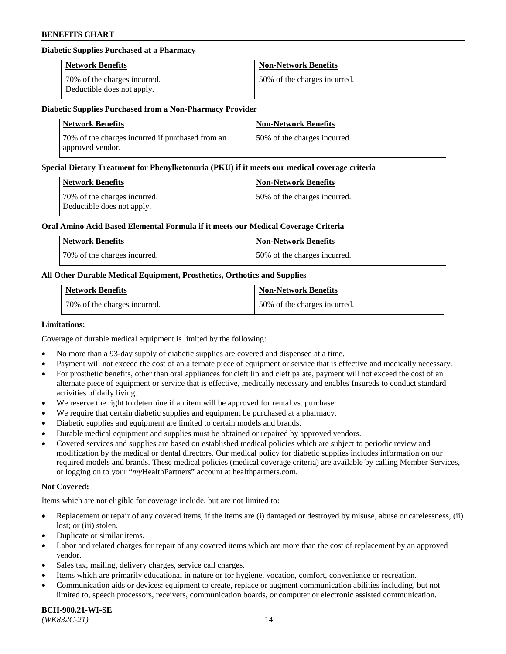### **Diabetic Supplies Purchased at a Pharmacy**

| <b>Network Benefits</b>                                    | <b>Non-Network Benefits</b>  |
|------------------------------------------------------------|------------------------------|
| 70% of the charges incurred.<br>Deductible does not apply. | 50% of the charges incurred. |

#### **Diabetic Supplies Purchased from a Non-Pharmacy Provider**

| <b>Network Benefits</b>                                              | <b>Non-Network Benefits</b>  |
|----------------------------------------------------------------------|------------------------------|
| 70% of the charges incurred if purchased from an<br>approved vendor. | 50% of the charges incurred. |

#### **Special Dietary Treatment for Phenylketonuria (PKU) if it meets our medical coverage criteria**

| Network Benefits                                           | <b>Non-Network Benefits</b>  |
|------------------------------------------------------------|------------------------------|
| 70% of the charges incurred.<br>Deductible does not apply. | 50% of the charges incurred. |

### **Oral Amino Acid Based Elemental Formula if it meets our Medical Coverage Criteria**

| Network Benefits             | <b>Non-Network Benefits</b>  |
|------------------------------|------------------------------|
| 70% of the charges incurred. | 50% of the charges incurred. |

# **All Other Durable Medical Equipment, Prosthetics, Orthotics and Supplies**

| <b>Network Benefits</b>      | <b>Non-Network Benefits</b>  |
|------------------------------|------------------------------|
| 70% of the charges incurred. | 50% of the charges incurred. |

#### **Limitations:**

Coverage of durable medical equipment is limited by the following:

- No more than a 93-day supply of diabetic supplies are covered and dispensed at a time.
- Payment will not exceed the cost of an alternate piece of equipment or service that is effective and medically necessary.
- For prosthetic benefits, other than oral appliances for cleft lip and cleft palate, payment will not exceed the cost of an alternate piece of equipment or service that is effective, medically necessary and enables Insureds to conduct standard
- activities of daily living. We reserve the right to determine if an item will be approved for rental vs. purchase.
- We require that certain diabetic supplies and equipment be purchased at a pharmacy.
- Diabetic supplies and equipment are limited to certain models and brands.
- Durable medical equipment and supplies must be obtained or repaired by approved vendors.
- Covered services and supplies are based on established medical policies which are subject to periodic review and modification by the medical or dental directors. Our medical policy for diabetic supplies includes information on our required models and brands. These medical policies (medical coverage criteria) are available by calling Member Services, or logging on to your "*my*HealthPartners" account a[t healthpartners.com.](https://www.healthpartners.com/hp/index.html)

# **Not Covered:**

Items which are not eligible for coverage include, but are not limited to:

- Replacement or repair of any covered items, if the items are (i) damaged or destroyed by misuse, abuse or carelessness, (ii) lost; or (iii) stolen.
- Duplicate or similar items.
- Labor and related charges for repair of any covered items which are more than the cost of replacement by an approved vendor.
- Sales tax, mailing, delivery charges, service call charges.
- Items which are primarily educational in nature or for hygiene, vocation, comfort, convenience or recreation.
- Communication aids or devices: equipment to create, replace or augment communication abilities including, but not limited to, speech processors, receivers, communication boards, or computer or electronic assisted communication.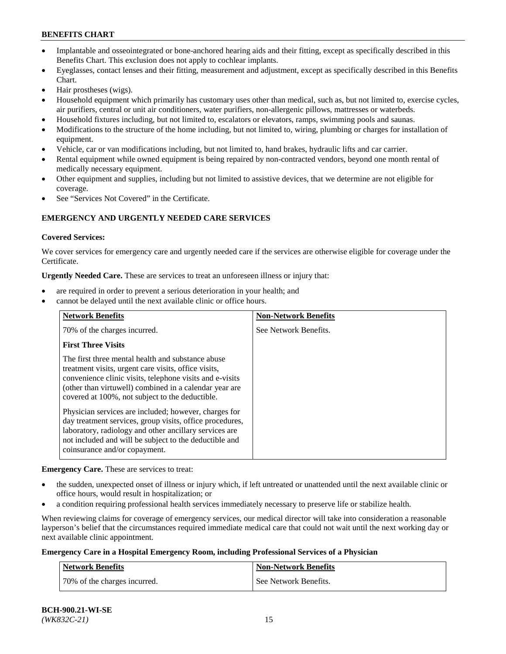- Implantable and osseointegrated or bone-anchored hearing aids and their fitting, except as specifically described in this Benefits Chart. This exclusion does not apply to cochlear implants.
- Eyeglasses, contact lenses and their fitting, measurement and adjustment, except as specifically described in this Benefits Chart.
- Hair prostheses (wigs).
- Household equipment which primarily has customary uses other than medical, such as, but not limited to, exercise cycles, air purifiers, central or unit air conditioners, water purifiers, non-allergenic pillows, mattresses or waterbeds.
- Household fixtures including, but not limited to, escalators or elevators, ramps, swimming pools and saunas.
- Modifications to the structure of the home including, but not limited to, wiring, plumbing or charges for installation of equipment.
- Vehicle, car or van modifications including, but not limited to, hand brakes, hydraulic lifts and car carrier.
- Rental equipment while owned equipment is being repaired by non-contracted vendors, beyond one month rental of medically necessary equipment.
- Other equipment and supplies, including but not limited to assistive devices, that we determine are not eligible for coverage.
- See "Services Not Covered" in the Certificate.

# **EMERGENCY AND URGENTLY NEEDED CARE SERVICES**

### **Covered Services:**

We cover services for emergency care and urgently needed care if the services are otherwise eligible for coverage under the Certificate.

**Urgently Needed Care.** These are services to treat an unforeseen illness or injury that:

- are required in order to prevent a serious deterioration in your health; and
- cannot be delayed until the next available clinic or office hours.

| <b>Network Benefits</b>                                                                                                                                                                                                                                                            | <b>Non-Network Benefits</b> |
|------------------------------------------------------------------------------------------------------------------------------------------------------------------------------------------------------------------------------------------------------------------------------------|-----------------------------|
| 70% of the charges incurred.                                                                                                                                                                                                                                                       | See Network Benefits.       |
| <b>First Three Visits</b>                                                                                                                                                                                                                                                          |                             |
| The first three mental health and substance abuse<br>treatment visits, urgent care visits, office visits,<br>convenience clinic visits, telephone visits and e-visits<br>(other than virtuwell) combined in a calendar year are<br>covered at 100%, not subject to the deductible. |                             |
| Physician services are included; however, charges for<br>day treatment services, group visits, office procedures,<br>laboratory, radiology and other ancillary services are<br>not included and will be subject to the deductible and<br>coinsurance and/or copayment.             |                             |

**Emergency Care.** These are services to treat:

- the sudden, unexpected onset of illness or injury which, if left untreated or unattended until the next available clinic or office hours, would result in hospitalization; or
- a condition requiring professional health services immediately necessary to preserve life or stabilize health.

When reviewing claims for coverage of emergency services, our medical director will take into consideration a reasonable layperson's belief that the circumstances required immediate medical care that could not wait until the next working day or next available clinic appointment.

# **Emergency Care in a Hospital Emergency Room, including Professional Services of a Physician**

| <b>Network Benefits</b>      | <b>Non-Network Benefits</b> |
|------------------------------|-----------------------------|
| 70% of the charges incurred. | See Network Benefits.       |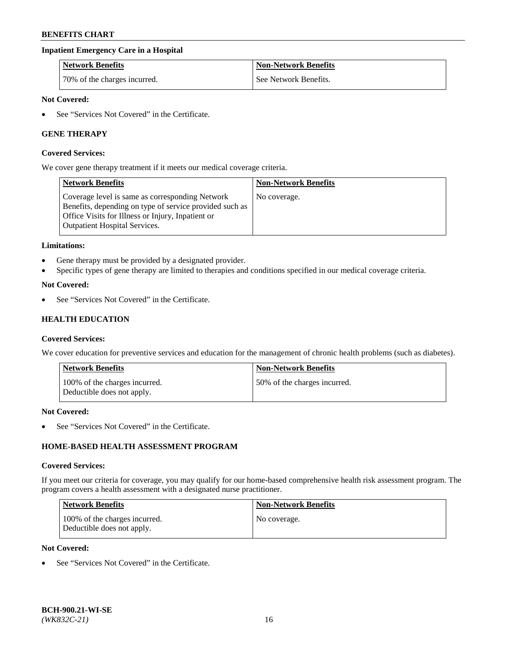# **Inpatient Emergency Care in a Hospital**

| <b>Network Benefits</b>      | <b>Non-Network Benefits</b> |
|------------------------------|-----------------------------|
| 70% of the charges incurred. | See Network Benefits.       |

### **Not Covered:**

See "Services Not Covered" in the Certificate.

# **GENE THERAPY**

#### **Covered Services:**

We cover gene therapy treatment if it meets our medical coverage criteria.

| <b>Network Benefits</b>                                                                                                                                                                                 | <b>Non-Network Benefits</b> |
|---------------------------------------------------------------------------------------------------------------------------------------------------------------------------------------------------------|-----------------------------|
| Coverage level is same as corresponding Network<br>Benefits, depending on type of service provided such as<br>Office Visits for Illness or Injury, Inpatient or<br><b>Outpatient Hospital Services.</b> | No coverage.                |

#### **Limitations:**

- Gene therapy must be provided by a designated provider.
- Specific types of gene therapy are limited to therapies and conditions specified in our medical coverage criteria.

### **Not Covered:**

See "Services Not Covered" in the Certificate.

# **HEALTH EDUCATION**

#### **Covered Services:**

We cover education for preventive services and education for the management of chronic health problems (such as diabetes).

| <b>Network Benefits</b>                                     | <b>Non-Network Benefits</b>  |
|-------------------------------------------------------------|------------------------------|
| 100% of the charges incurred.<br>Deductible does not apply. | 50% of the charges incurred. |

#### **Not Covered:**

See "Services Not Covered" in the Certificate.

# **HOME-BASED HEALTH ASSESSMENT PROGRAM**

#### **Covered Services:**

If you meet our criteria for coverage, you may qualify for our home-based comprehensive health risk assessment program. The program covers a health assessment with a designated nurse practitioner.

| Network Benefits                                            | <b>Non-Network Benefits</b> |
|-------------------------------------------------------------|-----------------------------|
| 100% of the charges incurred.<br>Deductible does not apply. | No coverage.                |

# **Not Covered:**

• See "Services Not Covered" in the Certificate.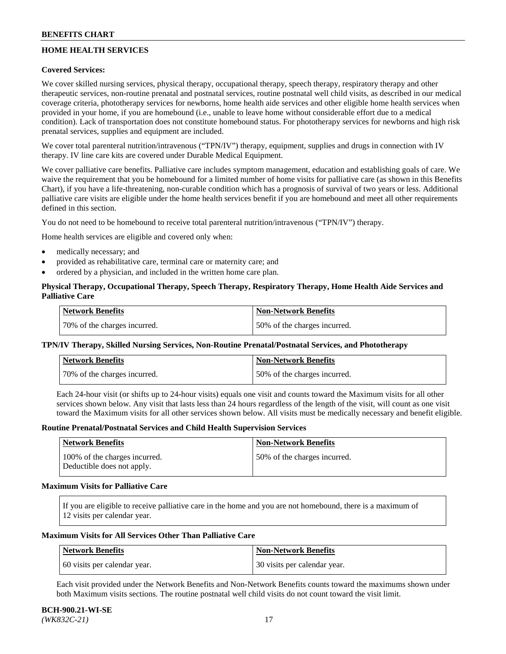# **HOME HEALTH SERVICES**

# **Covered Services:**

We cover skilled nursing services, physical therapy, occupational therapy, speech therapy, respiratory therapy and other therapeutic services, non-routine prenatal and postnatal services, routine postnatal well child visits, as described in our medical coverage criteria, phototherapy services for newborns, home health aide services and other eligible home health services when provided in your home, if you are homebound (i.e., unable to leave home without considerable effort due to a medical condition). Lack of transportation does not constitute homebound status. For phototherapy services for newborns and high risk prenatal services, supplies and equipment are included.

We cover total parenteral nutrition/intravenous ("TPN/IV") therapy, equipment, supplies and drugs in connection with IV therapy. IV line care kits are covered under Durable Medical Equipment.

We cover palliative care benefits. Palliative care includes symptom management, education and establishing goals of care. We waive the requirement that you be homebound for a limited number of home visits for palliative care (as shown in this Benefits Chart), if you have a life-threatening, non-curable condition which has a prognosis of survival of two years or less. Additional palliative care visits are eligible under the home health services benefit if you are homebound and meet all other requirements defined in this section.

You do not need to be homebound to receive total parenteral nutrition/intravenous ("TPN/IV") therapy.

Home health services are eligible and covered only when:

- medically necessary; and
- provided as rehabilitative care, terminal care or maternity care; and
- ordered by a physician, and included in the written home care plan.

# **Physical Therapy, Occupational Therapy, Speech Therapy, Respiratory Therapy, Home Health Aide Services and Palliative Care**

| Network Benefits             | <b>Non-Network Benefits</b>  |
|------------------------------|------------------------------|
| 70% of the charges incurred. | 50% of the charges incurred. |

# **TPN/IV Therapy, Skilled Nursing Services, Non-Routine Prenatal/Postnatal Services, and Phototherapy**

| Network Benefits             | <b>Non-Network Benefits</b>  |
|------------------------------|------------------------------|
| 70% of the charges incurred. | 50% of the charges incurred. |

Each 24-hour visit (or shifts up to 24-hour visits) equals one visit and counts toward the Maximum visits for all other services shown below. Any visit that lasts less than 24 hours regardless of the length of the visit, will count as one visit toward the Maximum visits for all other services shown below. All visits must be medically necessary and benefit eligible.

#### **Routine Prenatal/Postnatal Services and Child Health Supervision Services**

| Network Benefits                                            | <b>Non-Network Benefits</b>  |
|-------------------------------------------------------------|------------------------------|
| 100% of the charges incurred.<br>Deductible does not apply. | 50% of the charges incurred. |

### **Maximum Visits for Palliative Care**

If you are eligible to receive palliative care in the home and you are not homebound, there is a maximum of 12 visits per calendar year.

### **Maximum Visits for All Services Other Than Palliative Care**

| Network Benefits             | Non-Network Benefits         |
|------------------------------|------------------------------|
| 60 visits per calendar year. | 30 visits per calendar year. |

Each visit provided under the Network Benefits and Non-Network Benefits counts toward the maximums shown under both Maximum visits sections. The routine postnatal well child visits do not count toward the visit limit.

#### **BCH-900.21-WI-SE**  *(WK832C-21)* 17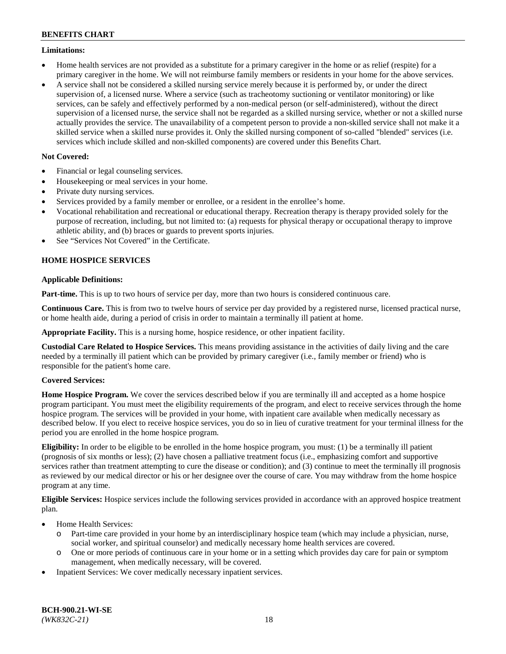### **Limitations:**

- Home health services are not provided as a substitute for a primary caregiver in the home or as relief (respite) for a primary caregiver in the home. We will not reimburse family members or residents in your home for the above services.
- A service shall not be considered a skilled nursing service merely because it is performed by, or under the direct supervision of, a licensed nurse. Where a service (such as tracheotomy suctioning or ventilator monitoring) or like services, can be safely and effectively performed by a non-medical person (or self-administered), without the direct supervision of a licensed nurse, the service shall not be regarded as a skilled nursing service, whether or not a skilled nurse actually provides the service. The unavailability of a competent person to provide a non-skilled service shall not make it a skilled service when a skilled nurse provides it. Only the skilled nursing component of so-called "blended" services (i.e. services which include skilled and non-skilled components) are covered under this Benefits Chart.

# **Not Covered:**

- Financial or legal counseling services.
- Housekeeping or meal services in your home.
- Private duty nursing services.
- Services provided by a family member or enrollee, or a resident in the enrollee's home.
- Vocational rehabilitation and recreational or educational therapy. Recreation therapy is therapy provided solely for the purpose of recreation, including, but not limited to: (a) requests for physical therapy or occupational therapy to improve athletic ability, and (b) braces or guards to prevent sports injuries.
- See "Services Not Covered" in the Certificate.

# **HOME HOSPICE SERVICES**

# **Applicable Definitions:**

**Part-time.** This is up to two hours of service per day, more than two hours is considered continuous care.

**Continuous Care.** This is from two to twelve hours of service per day provided by a registered nurse, licensed practical nurse, or home health aide, during a period of crisis in order to maintain a terminally ill patient at home.

**Appropriate Facility.** This is a nursing home, hospice residence, or other inpatient facility.

**Custodial Care Related to Hospice Services.** This means providing assistance in the activities of daily living and the care needed by a terminally ill patient which can be provided by primary caregiver (i.e., family member or friend) who is responsible for the patient's home care.

# **Covered Services:**

**Home Hospice Program.** We cover the services described below if you are terminally ill and accepted as a home hospice program participant. You must meet the eligibility requirements of the program, and elect to receive services through the home hospice program. The services will be provided in your home, with inpatient care available when medically necessary as described below. If you elect to receive hospice services, you do so in lieu of curative treatment for your terminal illness for the period you are enrolled in the home hospice program.

**Eligibility:** In order to be eligible to be enrolled in the home hospice program, you must: (1) be a terminally ill patient (prognosis of six months or less); (2) have chosen a palliative treatment focus (i.e., emphasizing comfort and supportive services rather than treatment attempting to cure the disease or condition); and (3) continue to meet the terminally ill prognosis as reviewed by our medical director or his or her designee over the course of care. You may withdraw from the home hospice program at any time.

**Eligible Services:** Hospice services include the following services provided in accordance with an approved hospice treatment plan.

- Home Health Services:
	- o Part-time care provided in your home by an interdisciplinary hospice team (which may include a physician, nurse, social worker, and spiritual counselor) and medically necessary home health services are covered.
	- o One or more periods of continuous care in your home or in a setting which provides day care for pain or symptom management, when medically necessary, will be covered.
- Inpatient Services: We cover medically necessary inpatient services.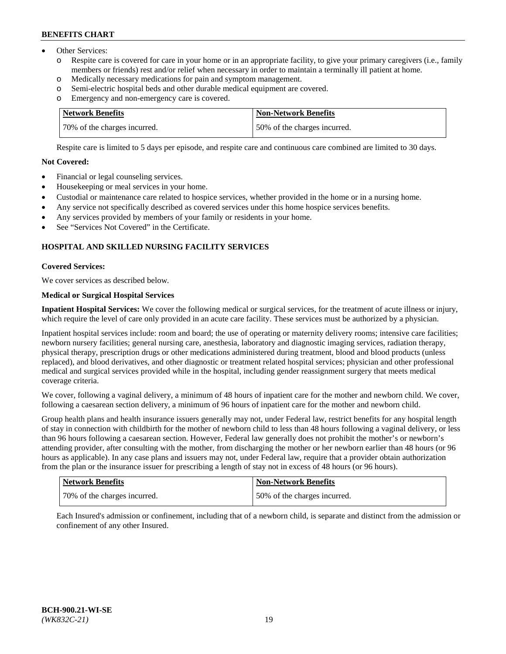- Other Services:
	- Respite care is covered for care in your home or in an appropriate facility, to give your primary caregivers (i.e., family members or friends) rest and/or relief when necessary in order to maintain a terminally ill patient at home.
	- o Medically necessary medications for pain and symptom management.
	- o Semi-electric hospital beds and other durable medical equipment are covered.
	- Emergency and non-emergency care is covered.

| Network Benefits             | Non-Network Benefits         |
|------------------------------|------------------------------|
| 70% of the charges incurred. | 50% of the charges incurred. |

Respite care is limited to 5 days per episode, and respite care and continuous care combined are limited to 30 days.

# **Not Covered:**

- Financial or legal counseling services.
- Housekeeping or meal services in your home.
- Custodial or maintenance care related to hospice services, whether provided in the home or in a nursing home.
- Any service not specifically described as covered services under this home hospice services benefits.
- Any services provided by members of your family or residents in your home.
- See "Services Not Covered" in the Certificate.

# **HOSPITAL AND SKILLED NURSING FACILITY SERVICES**

# **Covered Services:**

We cover services as described below.

# **Medical or Surgical Hospital Services**

**Inpatient Hospital Services:** We cover the following medical or surgical services, for the treatment of acute illness or injury, which require the level of care only provided in an acute care facility. These services must be authorized by a physician.

Inpatient hospital services include: room and board; the use of operating or maternity delivery rooms; intensive care facilities; newborn nursery facilities; general nursing care, anesthesia, laboratory and diagnostic imaging services, radiation therapy, physical therapy, prescription drugs or other medications administered during treatment, blood and blood products (unless replaced), and blood derivatives, and other diagnostic or treatment related hospital services; physician and other professional medical and surgical services provided while in the hospital, including gender reassignment surgery that meets medical coverage criteria.

We cover, following a vaginal delivery, a minimum of 48 hours of inpatient care for the mother and newborn child. We cover, following a caesarean section delivery, a minimum of 96 hours of inpatient care for the mother and newborn child.

Group health plans and health insurance issuers generally may not, under Federal law, restrict benefits for any hospital length of stay in connection with childbirth for the mother of newborn child to less than 48 hours following a vaginal delivery, or less than 96 hours following a caesarean section. However, Federal law generally does not prohibit the mother's or newborn's attending provider, after consulting with the mother, from discharging the mother or her newborn earlier than 48 hours (or 96 hours as applicable). In any case plans and issuers may not, under Federal law, require that a provider obtain authorization from the plan or the insurance issuer for prescribing a length of stay not in excess of 48 hours (or 96 hours).

| Network Benefits             | Non-Network Benefits         |
|------------------------------|------------------------------|
| 70% of the charges incurred. | 50% of the charges incurred. |

Each Insured's admission or confinement, including that of a newborn child, is separate and distinct from the admission or confinement of any other Insured.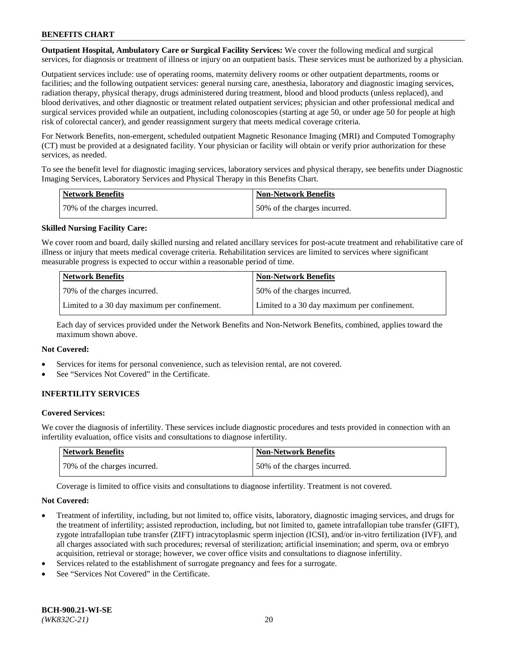**Outpatient Hospital, Ambulatory Care or Surgical Facility Services:** We cover the following medical and surgical services, for diagnosis or treatment of illness or injury on an outpatient basis. These services must be authorized by a physician.

Outpatient services include: use of operating rooms, maternity delivery rooms or other outpatient departments, rooms or facilities; and the following outpatient services: general nursing care, anesthesia, laboratory and diagnostic imaging services, radiation therapy, physical therapy, drugs administered during treatment, blood and blood products (unless replaced), and blood derivatives, and other diagnostic or treatment related outpatient services; physician and other professional medical and surgical services provided while an outpatient, including colonoscopies (starting at age 50, or under age 50 for people at high risk of colorectal cancer), and gender reassignment surgery that meets medical coverage criteria.

For Network Benefits, non-emergent, scheduled outpatient Magnetic Resonance Imaging (MRI) and Computed Tomography (CT) must be provided at a designated facility. Your physician or facility will obtain or verify prior authorization for these services, as needed.

To see the benefit level for diagnostic imaging services, laboratory services and physical therapy, see benefits under Diagnostic Imaging Services, Laboratory Services and Physical Therapy in this Benefits Chart.

| <b>Network Benefits</b>      | <b>Non-Network Benefits</b>  |
|------------------------------|------------------------------|
| 70% of the charges incurred. | 50% of the charges incurred. |

# **Skilled Nursing Facility Care:**

We cover room and board, daily skilled nursing and related ancillary services for post-acute treatment and rehabilitative care of illness or injury that meets medical coverage criteria. Rehabilitation services are limited to services where significant measurable progress is expected to occur within a reasonable period of time.

| <b>Network Benefits</b>                      | <b>Non-Network Benefits</b>                  |
|----------------------------------------------|----------------------------------------------|
| 70\% of the charges incurred.                | 150% of the charges incurred.                |
| Limited to a 30 day maximum per confinement. | Limited to a 30 day maximum per confinement. |

Each day of services provided under the Network Benefits and Non-Network Benefits, combined, applies toward the maximum shown above.

### **Not Covered:**

- Services for items for personal convenience, such as television rental, are not covered.
- See "Services Not Covered" in the Certificate.

# **INFERTILITY SERVICES**

#### **Covered Services:**

We cover the diagnosis of infertility. These services include diagnostic procedures and tests provided in connection with an infertility evaluation, office visits and consultations to diagnose infertility.

| Network Benefits             | <b>Non-Network Benefits</b>  |
|------------------------------|------------------------------|
| 70% of the charges incurred. | 50% of the charges incurred. |

Coverage is limited to office visits and consultations to diagnose infertility. Treatment is not covered.

#### **Not Covered:**

- Treatment of infertility, including, but not limited to, office visits, laboratory, diagnostic imaging services, and drugs for the treatment of infertility; assisted reproduction, including, but not limited to, gamete intrafallopian tube transfer (GIFT), zygote intrafallopian tube transfer (ZIFT) intracytoplasmic sperm injection (ICSI), and/or in-vitro fertilization (IVF), and all charges associated with such procedures; reversal of sterilization; artificial insemination; and sperm, ova or embryo acquisition, retrieval or storage; however, we cover office visits and consultations to diagnose infertility.
- Services related to the establishment of surrogate pregnancy and fees for a surrogate.
- See "Services Not Covered" in the Certificate.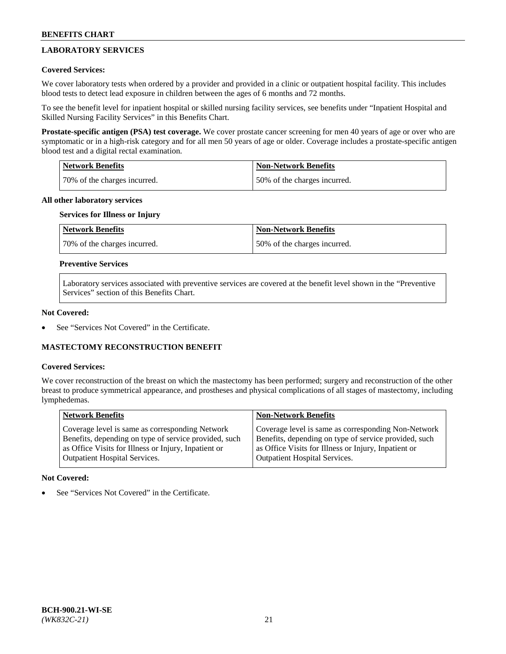# **LABORATORY SERVICES**

## **Covered Services:**

We cover laboratory tests when ordered by a provider and provided in a clinic or outpatient hospital facility. This includes blood tests to detect lead exposure in children between the ages of 6 months and 72 months.

To see the benefit level for inpatient hospital or skilled nursing facility services, see benefits under "Inpatient Hospital and Skilled Nursing Facility Services" in this Benefits Chart.

**Prostate-specific antigen (PSA) test coverage.** We cover prostate cancer screening for men 40 years of age or over who are symptomatic or in a high-risk category and for all men 50 years of age or older. Coverage includes a prostate-specific antigen blood test and a digital rectal examination.

| Network Benefits             | <b>Non-Network Benefits</b>  |
|------------------------------|------------------------------|
| 70% of the charges incurred. | 50% of the charges incurred. |

### **All other laboratory services**

# **Services for Illness or Injury**

| <b>Network Benefits</b>      | Non-Network Benefits         |
|------------------------------|------------------------------|
| 70% of the charges incurred. | 50% of the charges incurred. |

## **Preventive Services**

Laboratory services associated with preventive services are covered at the benefit level shown in the "Preventive Services" section of this Benefits Chart.

### **Not Covered:**

See "Services Not Covered" in the Certificate.

# **MASTECTOMY RECONSTRUCTION BENEFIT**

#### **Covered Services:**

We cover reconstruction of the breast on which the mastectomy has been performed; surgery and reconstruction of the other breast to produce symmetrical appearance, and prostheses and physical complications of all stages of mastectomy, including lymphedemas.

| <b>Network Benefits</b>                               | <b>Non-Network Benefits</b>                           |
|-------------------------------------------------------|-------------------------------------------------------|
| Coverage level is same as corresponding Network       | Coverage level is same as corresponding Non-Network   |
| Benefits, depending on type of service provided, such | Benefits, depending on type of service provided, such |
| as Office Visits for Illness or Injury, Inpatient or  | as Office Visits for Illness or Injury, Inpatient or  |
| Outpatient Hospital Services.                         | <b>Outpatient Hospital Services.</b>                  |

#### **Not Covered:**

See "Services Not Covered" in the Certificate.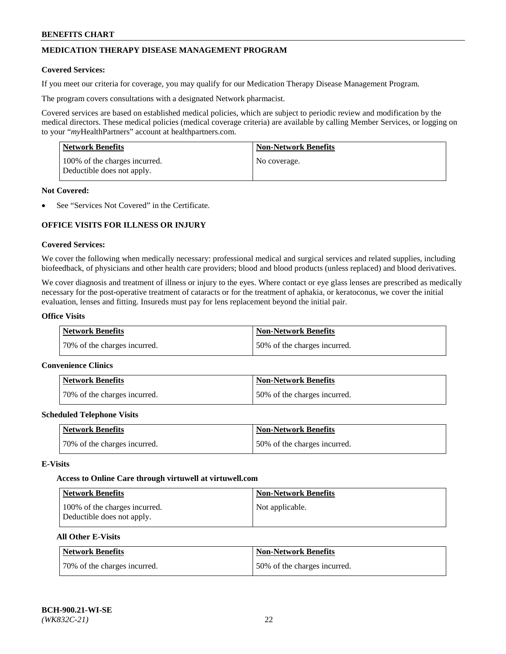# **MEDICATION THERAPY DISEASE MANAGEMENT PROGRAM**

### **Covered Services:**

If you meet our criteria for coverage, you may qualify for our Medication Therapy Disease Management Program.

The program covers consultations with a designated Network pharmacist.

Covered services are based on established medical policies, which are subject to periodic review and modification by the medical directors. These medical policies (medical coverage criteria) are available by calling Member Services, or logging on to your "*my*HealthPartners" account at [healthpartners.com.](http://www.healthpartners.com/)

| Network Benefits                                            | <b>Non-Network Benefits</b> |
|-------------------------------------------------------------|-----------------------------|
| 100% of the charges incurred.<br>Deductible does not apply. | No coverage.                |

### **Not Covered:**

See "Services Not Covered" in the Certificate.

# **OFFICE VISITS FOR ILLNESS OR INJURY**

### **Covered Services:**

We cover the following when medically necessary: professional medical and surgical services and related supplies, including biofeedback, of physicians and other health care providers; blood and blood products (unless replaced) and blood derivatives.

We cover diagnosis and treatment of illness or injury to the eyes. Where contact or eye glass lenses are prescribed as medically necessary for the post-operative treatment of cataracts or for the treatment of aphakia, or keratoconus, we cover the initial evaluation, lenses and fitting. Insureds must pay for lens replacement beyond the initial pair.

# **Office Visits**

| Network Benefits             | <b>Non-Network Benefits</b>  |
|------------------------------|------------------------------|
| 70% of the charges incurred. | 50% of the charges incurred. |

#### **Convenience Clinics**

| Network Benefits             | <b>Non-Network Benefits</b>  |
|------------------------------|------------------------------|
| 70% of the charges incurred. | 50% of the charges incurred. |

#### **Scheduled Telephone Visits**

| <b>Network Benefits</b>      | <b>Non-Network Benefits</b>  |
|------------------------------|------------------------------|
| 70% of the charges incurred. | 50% of the charges incurred. |

#### **E-Visits**

#### **Access to Online Care through virtuwell a[t virtuwell.com](https://www.virtuwell.com/)**

| <b>Network Benefits</b>                                     | <b>Non-Network Benefits</b> |
|-------------------------------------------------------------|-----------------------------|
| 100% of the charges incurred.<br>Deductible does not apply. | Not applicable.             |

### **All Other E-Visits**

| Network Benefits             | <b>Non-Network Benefits</b>  |
|------------------------------|------------------------------|
| 70% of the charges incurred. | 50% of the charges incurred. |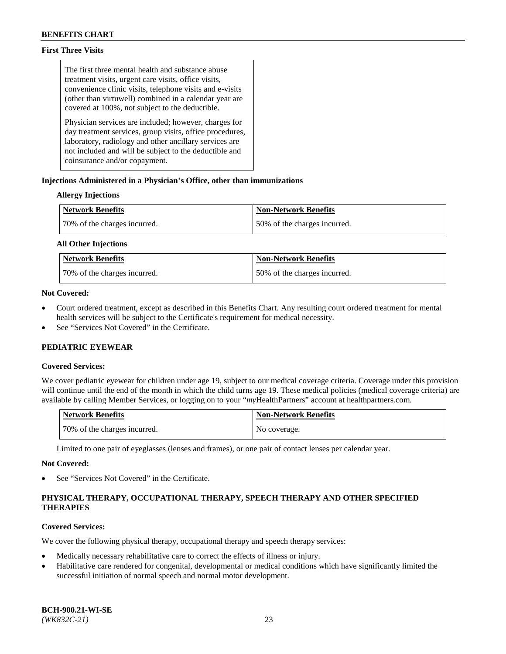# **First Three Visits**

The first three mental health and substance abuse treatment visits, urgent care visits, office visits, convenience clinic visits, telephone visits and e-visits (other than virtuwell) combined in a calendar year are covered at 100%, not subject to the deductible.

Physician services are included; however, charges for day treatment services, group visits, office procedures, laboratory, radiology and other ancillary services are not included and will be subject to the deductible and coinsurance and/or copayment.

# **Injections Administered in a Physician's Office, other than immunizations**

# **Allergy Injections**

| <b>Network Benefits</b>      | <b>Non-Network Benefits</b>  |
|------------------------------|------------------------------|
| 70% of the charges incurred. | 50% of the charges incurred. |

### **All Other Injections**

| <b>Network Benefits</b>      | <b>Non-Network Benefits</b>  |
|------------------------------|------------------------------|
| 70% of the charges incurred. | 50% of the charges incurred. |

# **Not Covered:**

- Court ordered treatment, except as described in this Benefits Chart. Any resulting court ordered treatment for mental health services will be subject to the Certificate's requirement for medical necessity.
- See "Services Not Covered" in the Certificate.

# **PEDIATRIC EYEWEAR**

# **Covered Services:**

We cover pediatric eyewear for children under age 19, subject to our medical coverage criteria. Coverage under this provision will continue until the end of the month in which the child turns age 19. These medical policies (medical coverage criteria) are available by calling Member Services, or logging on to your "*my*HealthPartners" account a[t healthpartners.com.](https://www.healthpartners.com/hp/index.html)

| Network Benefits             | <b>Non-Network Benefits</b> |
|------------------------------|-----------------------------|
| 70% of the charges incurred. | No coverage.                |

Limited to one pair of eyeglasses (lenses and frames), or one pair of contact lenses per calendar year.

#### **Not Covered:**

See "Services Not Covered" in the Certificate.

# **PHYSICAL THERAPY, OCCUPATIONAL THERAPY, SPEECH THERAPY AND OTHER SPECIFIED THERAPIES**

# **Covered Services:**

We cover the following physical therapy, occupational therapy and speech therapy services:

- Medically necessary rehabilitative care to correct the effects of illness or injury.
- Habilitative care rendered for congenital, developmental or medical conditions which have significantly limited the successful initiation of normal speech and normal motor development.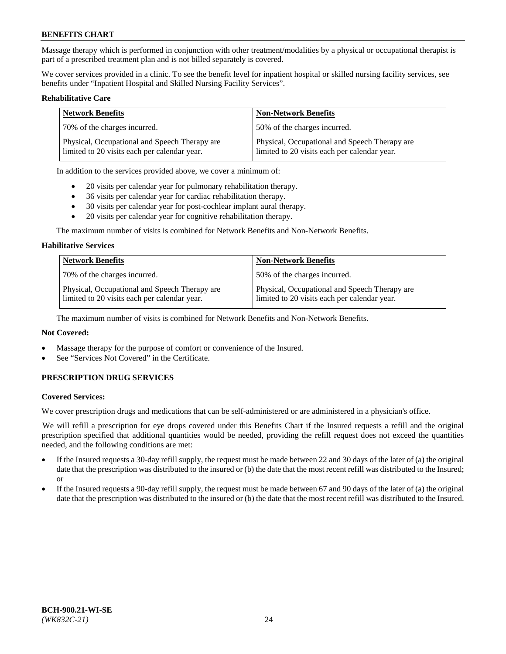Massage therapy which is performed in conjunction with other treatment/modalities by a physical or occupational therapist is part of a prescribed treatment plan and is not billed separately is covered.

We cover services provided in a clinic. To see the benefit level for inpatient hospital or skilled nursing facility services, see benefits under "Inpatient Hospital and Skilled Nursing Facility Services".

#### **Rehabilitative Care**

| <b>Network Benefits</b>                                                                       | <b>Non-Network Benefits</b>                                                                   |
|-----------------------------------------------------------------------------------------------|-----------------------------------------------------------------------------------------------|
| 70% of the charges incurred.                                                                  | 50% of the charges incurred.                                                                  |
| Physical, Occupational and Speech Therapy are<br>limited to 20 visits each per calendar year. | Physical, Occupational and Speech Therapy are<br>limited to 20 visits each per calendar year. |

In addition to the services provided above, we cover a minimum of:

- 20 visits per calendar year for pulmonary rehabilitation therapy.
- 36 visits per calendar year for cardiac rehabilitation therapy.
- 30 visits per calendar year for post-cochlear implant aural therapy.
- 20 visits per calendar year for cognitive rehabilitation therapy.

The maximum number of visits is combined for Network Benefits and Non-Network Benefits.

#### **Habilitative Services**

| <b>Network Benefits</b>                                                                       | <b>Non-Network Benefits</b>                                                                   |
|-----------------------------------------------------------------------------------------------|-----------------------------------------------------------------------------------------------|
| 70% of the charges incurred.                                                                  | 50% of the charges incurred.                                                                  |
| Physical, Occupational and Speech Therapy are<br>limited to 20 visits each per calendar year. | Physical, Occupational and Speech Therapy are<br>limited to 20 visits each per calendar year. |

The maximum number of visits is combined for Network Benefits and Non-Network Benefits.

# **Not Covered:**

- Massage therapy for the purpose of comfort or convenience of the Insured.
- See "Services Not Covered" in the Certificate.

# **PRESCRIPTION DRUG SERVICES**

#### **Covered Services:**

We cover prescription drugs and medications that can be self-administered or are administered in a physician's office.

We will refill a prescription for eye drops covered under this Benefits Chart if the Insured requests a refill and the original prescription specified that additional quantities would be needed, providing the refill request does not exceed the quantities needed, and the following conditions are met:

- If the Insured requests a 30-day refill supply, the request must be made between 22 and 30 days of the later of (a) the original date that the prescription was distributed to the insured or (b) the date that the most recent refill was distributed to the Insured; or
- If the Insured requests a 90-day refill supply, the request must be made between 67 and 90 days of the later of (a) the original date that the prescription was distributed to the insured or (b) the date that the most recent refill was distributed to the Insured.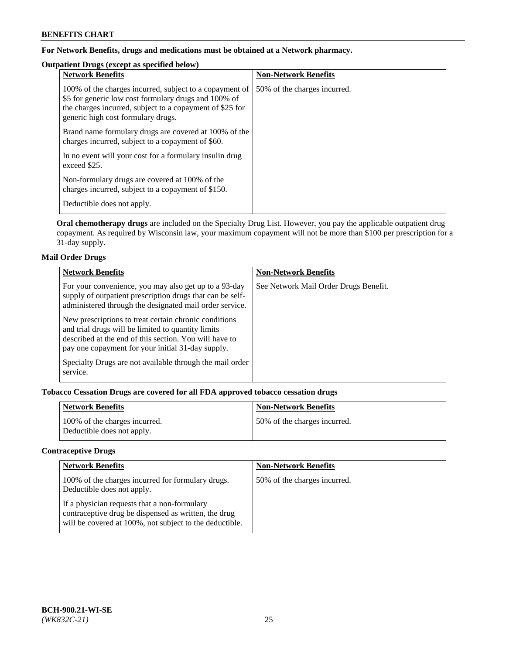# **For Network Benefits, drugs and medications must be obtained at a Network pharmacy.**

# **Outpatient Drugs (except as specified below)**

| <b>Network Benefits</b>                                                                                                                                                                                           | <b>Non-Network Benefits</b>  |
|-------------------------------------------------------------------------------------------------------------------------------------------------------------------------------------------------------------------|------------------------------|
| 100% of the charges incurred, subject to a copayment of<br>\$5 for generic low cost formulary drugs and 100% of<br>the charges incurred, subject to a copayment of \$25 for<br>generic high cost formulary drugs. | 50% of the charges incurred. |
| Brand name formulary drugs are covered at 100% of the<br>charges incurred, subject to a copayment of \$60.                                                                                                        |                              |
| In no event will your cost for a formulary insulin drug<br>exceed \$25.                                                                                                                                           |                              |
| Non-formulary drugs are covered at 100% of the<br>charges incurred, subject to a copayment of \$150.                                                                                                              |                              |
| Deductible does not apply.                                                                                                                                                                                        |                              |

**Oral chemotherapy drugs** are included on the Specialty Drug List. However, you pay the applicable outpatient drug copayment. As required by Wisconsin law, your maximum copayment will not be more than \$100 per prescription for a 31-day supply.

# **Mail Order Drugs**

| <b>Network Benefits</b>                                                                                                                                                                                                    | <b>Non-Network Benefits</b>           |
|----------------------------------------------------------------------------------------------------------------------------------------------------------------------------------------------------------------------------|---------------------------------------|
| For your convenience, you may also get up to a 93-day<br>supply of outpatient prescription drugs that can be self-<br>administered through the designated mail order service.                                              | See Network Mail Order Drugs Benefit. |
| New prescriptions to treat certain chronic conditions<br>and trial drugs will be limited to quantity limits<br>described at the end of this section. You will have to<br>pay one copayment for your initial 31-day supply. |                                       |
| Specialty Drugs are not available through the mail order<br>service.                                                                                                                                                       |                                       |

# **Tobacco Cessation Drugs are covered for all FDA approved tobacco cessation drugs**

| <b>Network Benefits</b>                                     | <b>Non-Network Benefits</b>  |
|-------------------------------------------------------------|------------------------------|
| 100% of the charges incurred.<br>Deductible does not apply. | 50% of the charges incurred. |

# **Contraceptive Drugs**

| <b>Network Benefits</b>                                                                                                                                         | <b>Non-Network Benefits</b>  |
|-----------------------------------------------------------------------------------------------------------------------------------------------------------------|------------------------------|
| 100% of the charges incurred for formulary drugs.<br>Deductible does not apply.                                                                                 | 50% of the charges incurred. |
| If a physician requests that a non-formulary<br>contraceptive drug be dispensed as written, the drug<br>will be covered at 100%, not subject to the deductible. |                              |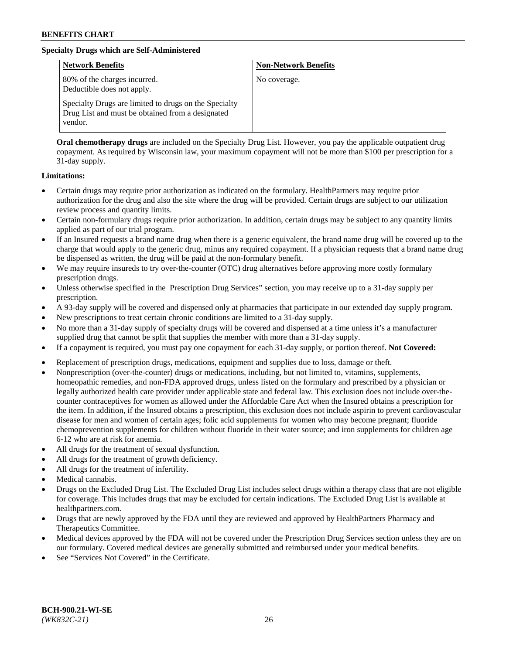# **Specialty Drugs which are Self-Administered**

| <b>Network Benefits</b>                                                                                              | <b>Non-Network Benefits</b> |
|----------------------------------------------------------------------------------------------------------------------|-----------------------------|
| 80% of the charges incurred.<br>Deductible does not apply.                                                           | No coverage.                |
| Specialty Drugs are limited to drugs on the Specialty<br>Drug List and must be obtained from a designated<br>vendor. |                             |

**Oral chemotherapy drugs** are included on the Specialty Drug List. However, you pay the applicable outpatient drug copayment. As required by Wisconsin law, your maximum copayment will not be more than \$100 per prescription for a 31-day supply.

### **Limitations:**

- Certain drugs may require prior authorization as indicated on the formulary. HealthPartners may require prior authorization for the drug and also the site where the drug will be provided. Certain drugs are subject to our utilization review process and quantity limits.
- Certain non-formulary drugs require prior authorization. In addition, certain drugs may be subject to any quantity limits applied as part of our trial program.
- If an Insured requests a brand name drug when there is a generic equivalent, the brand name drug will be covered up to the charge that would apply to the generic drug, minus any required copayment. If a physician requests that a brand name drug be dispensed as written, the drug will be paid at the non-formulary benefit.
- We may require insureds to try over-the-counter (OTC) drug alternatives before approving more costly formulary prescription drugs.
- Unless otherwise specified in the Prescription Drug Services" section, you may receive up to a 31-day supply per prescription.
- A 93-day supply will be covered and dispensed only at pharmacies that participate in our extended day supply program.
- New prescriptions to treat certain chronic conditions are limited to a 31-day supply.
- No more than a 31-day supply of specialty drugs will be covered and dispensed at a time unless it's a manufacturer supplied drug that cannot be split that supplies the member with more than a 31-day supply.
- If a copayment is required, you must pay one copayment for each 31-day supply, or portion thereof. **Not Covered:**
- Replacement of prescription drugs, medications, equipment and supplies due to loss, damage or theft.
- Nonprescription (over-the-counter) drugs or medications, including, but not limited to, vitamins, supplements, homeopathic remedies, and non-FDA approved drugs, unless listed on the formulary and prescribed by a physician or legally authorized health care provider under applicable state and federal law. This exclusion does not include over-thecounter contraceptives for women as allowed under the Affordable Care Act when the Insured obtains a prescription for the item. In addition, if the Insured obtains a prescription, this exclusion does not include aspirin to prevent cardiovascular disease for men and women of certain ages; folic acid supplements for women who may become pregnant; fluoride chemoprevention supplements for children without fluoride in their water source; and iron supplements for children age 6-12 who are at risk for anemia.
- All drugs for the treatment of sexual dysfunction.
- All drugs for the treatment of growth deficiency.
- All drugs for the treatment of infertility.
- Medical cannabis.
- Drugs on the Excluded Drug List. The Excluded Drug List includes select drugs within a therapy class that are not eligible for coverage. This includes drugs that may be excluded for certain indications. The Excluded Drug List is available at [healthpartners.com.](http://www.healthpartners.com/)
- Drugs that are newly approved by the FDA until they are reviewed and approved by HealthPartners Pharmacy and Therapeutics Committee.
- Medical devices approved by the FDA will not be covered under the Prescription Drug Services section unless they are on our formulary. Covered medical devices are generally submitted and reimbursed under your medical benefits.
- See "Services Not Covered" in the Certificate.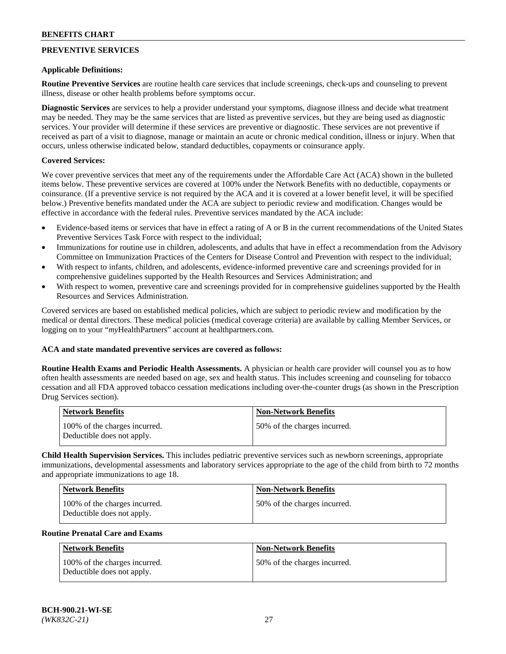# **PREVENTIVE SERVICES**

#### **Applicable Definitions:**

**Routine Preventive Services** are routine health care services that include screenings, check-ups and counseling to prevent illness, disease or other health problems before symptoms occur.

**Diagnostic Services** are services to help a provider understand your symptoms, diagnose illness and decide what treatment may be needed. They may be the same services that are listed as preventive services, but they are being used as diagnostic services. Your provider will determine if these services are preventive or diagnostic. These services are not preventive if received as part of a visit to diagnose, manage or maintain an acute or chronic medical condition, illness or injury. When that occurs, unless otherwise indicated below, standard deductibles, copayments or coinsurance apply.

### **Covered Services:**

We cover preventive services that meet any of the requirements under the Affordable Care Act (ACA) shown in the bulleted items below. These preventive services are covered at 100% under the Network Benefits with no deductible, copayments or coinsurance. (If a preventive service is not required by the ACA and it is covered at a lower benefit level, it will be specified below.) Preventive benefits mandated under the ACA are subject to periodic review and modification. Changes would be effective in accordance with the federal rules. Preventive services mandated by the ACA include:

- Evidence-based items or services that have in effect a rating of A or B in the current recommendations of the United States Preventive Services Task Force with respect to the individual;
- Immunizations for routine use in children, adolescents, and adults that have in effect a recommendation from the Advisory Committee on Immunization Practices of the Centers for Disease Control and Prevention with respect to the individual;
- With respect to infants, children, and adolescents, evidence-informed preventive care and screenings provided for in comprehensive guidelines supported by the Health Resources and Services Administration; and
- With respect to women, preventive care and screenings provided for in comprehensive guidelines supported by the Health Resources and Services Administration.

Covered services are based on established medical policies, which are subject to periodic review and modification by the medical or dental directors. These medical policies (medical coverage criteria) are available by calling Member Services, or logging on to your "*my*HealthPartners" account at [healthpartners.com.](https://www.healthpartners.com/hp/index.html)

### **ACA and state mandated preventive services are covered as follows:**

**Routine Health Exams and Periodic Health Assessments.** A physician or health care provider will counsel you as to how often health assessments are needed based on age, sex and health status. This includes screening and counseling for tobacco cessation and all FDA approved tobacco cessation medications including over-the-counter drugs (as shown in the Prescription Drug Services section).

| Network Benefits                                            | <b>Non-Network Benefits</b>  |
|-------------------------------------------------------------|------------------------------|
| 100% of the charges incurred.<br>Deductible does not apply. | 50% of the charges incurred. |

**Child Health Supervision Services.** This includes pediatric preventive services such as newborn screenings, appropriate immunizations, developmental assessments and laboratory services appropriate to the age of the child from birth to 72 months and appropriate immunizations to age 18.

| Network Benefits                                            | <b>Non-Network Benefits</b>  |
|-------------------------------------------------------------|------------------------------|
| 100% of the charges incurred.<br>Deductible does not apply. | 50% of the charges incurred. |

#### **Routine Prenatal Care and Exams**

| Network Benefits                                            | <b>Non-Network Benefits</b>  |
|-------------------------------------------------------------|------------------------------|
| 100% of the charges incurred.<br>Deductible does not apply. | 50% of the charges incurred. |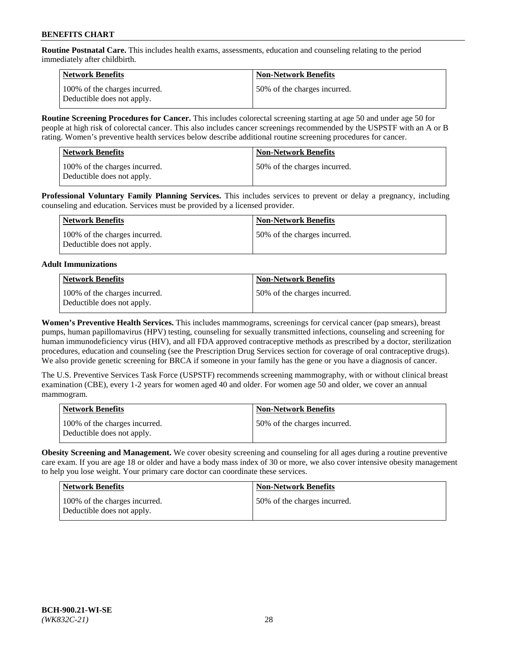**Routine Postnatal Care.** This includes health exams, assessments, education and counseling relating to the period immediately after childbirth.

| Network Benefits                                            | <b>Non-Network Benefits</b>  |
|-------------------------------------------------------------|------------------------------|
| 100% of the charges incurred.<br>Deductible does not apply. | 50% of the charges incurred. |

**Routine Screening Procedures for Cancer.** This includes colorectal screening starting at age 50 and under age 50 for people at high risk of colorectal cancer. This also includes cancer screenings recommended by the USPSTF with an A or B rating. Women's preventive health services below describe additional routine screening procedures for cancer.

| <b>Network Benefits</b>                                     | <b>Non-Network Benefits</b>  |
|-------------------------------------------------------------|------------------------------|
| 100% of the charges incurred.<br>Deductible does not apply. | 50% of the charges incurred. |

**Professional Voluntary Family Planning Services.** This includes services to prevent or delay a pregnancy, including counseling and education. Services must be provided by a licensed provider.

| Network Benefits                                            | <b>Non-Network Benefits</b>  |
|-------------------------------------------------------------|------------------------------|
| 100% of the charges incurred.<br>Deductible does not apply. | 50% of the charges incurred. |

# **Adult Immunizations**

| Network Benefits                                            | Non-Network Benefits         |
|-------------------------------------------------------------|------------------------------|
| 100% of the charges incurred.<br>Deductible does not apply. | 50% of the charges incurred. |

**Women's Preventive Health Services.** This includes mammograms, screenings for cervical cancer (pap smears), breast pumps, human papillomavirus (HPV) testing, counseling for sexually transmitted infections, counseling and screening for human immunodeficiency virus (HIV), and all FDA approved contraceptive methods as prescribed by a doctor, sterilization procedures, education and counseling (see the Prescription Drug Services section for coverage of oral contraceptive drugs). We also provide genetic screening for BRCA if someone in your family has the gene or you have a diagnosis of cancer.

The U.S. Preventive Services Task Force (USPSTF) recommends screening mammography, with or without clinical breast examination (CBE), every 1-2 years for women aged 40 and older. For women age 50 and older, we cover an annual mammogram.

| <b>Network Benefits</b>                                     | <b>Non-Network Benefits</b>  |
|-------------------------------------------------------------|------------------------------|
| 100% of the charges incurred.<br>Deductible does not apply. | 50% of the charges incurred. |

**Obesity Screening and Management.** We cover obesity screening and counseling for all ages during a routine preventive care exam. If you are age 18 or older and have a body mass index of 30 or more, we also cover intensive obesity management to help you lose weight. Your primary care doctor can coordinate these services.

| <b>Network Benefits</b>                                     | <b>Non-Network Benefits</b>  |
|-------------------------------------------------------------|------------------------------|
| 100% of the charges incurred.<br>Deductible does not apply. | 50% of the charges incurred. |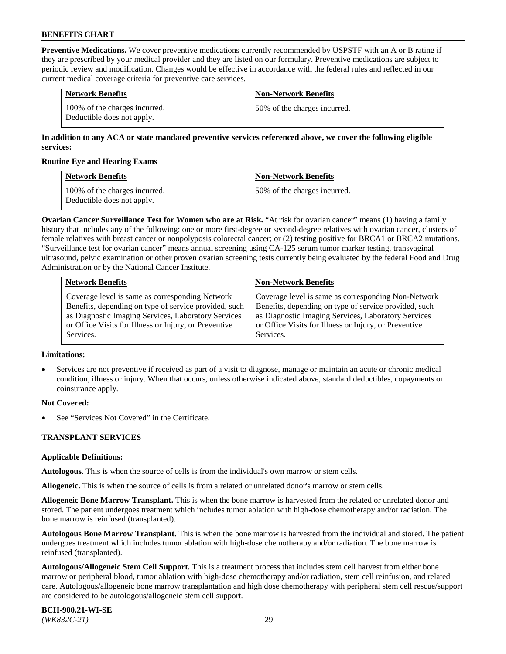**Preventive Medications.** We cover preventive medications currently recommended by USPSTF with an A or B rating if they are prescribed by your medical provider and they are listed on our formulary. Preventive medications are subject to periodic review and modification. Changes would be effective in accordance with the federal rules and reflected in our current medical coverage criteria for preventive care services.

| <b>Network Benefits</b>                                     | <b>Non-Network Benefits</b>  |
|-------------------------------------------------------------|------------------------------|
| 100% of the charges incurred.<br>Deductible does not apply. | 50% of the charges incurred. |

# **In addition to any ACA or state mandated preventive services referenced above, we cover the following eligible services:**

### **Routine Eye and Hearing Exams**

| <b>Network Benefits</b>                                     | <b>Non-Network Benefits</b>  |
|-------------------------------------------------------------|------------------------------|
| 100% of the charges incurred.<br>Deductible does not apply. | 50% of the charges incurred. |

**Ovarian Cancer Surveillance Test for Women who are at Risk.** "At risk for ovarian cancer" means (1) having a family history that includes any of the following: one or more first-degree or second-degree relatives with ovarian cancer, clusters of female relatives with breast cancer or nonpolyposis colorectal cancer; or (2) testing positive for BRCA1 or BRCA2 mutations. "Surveillance test for ovarian cancer" means annual screening using CA-125 serum tumor marker testing, transvaginal ultrasound, pelvic examination or other proven ovarian screening tests currently being evaluated by the federal Food and Drug Administration or by the National Cancer Institute.

| <b>Network Benefits</b>                               | <b>Non-Network Benefits</b>                           |
|-------------------------------------------------------|-------------------------------------------------------|
| Coverage level is same as corresponding Network       | Coverage level is same as corresponding Non-Network   |
| Benefits, depending on type of service provided, such | Benefits, depending on type of service provided, such |
| as Diagnostic Imaging Services, Laboratory Services   | as Diagnostic Imaging Services, Laboratory Services   |
| or Office Visits for Illness or Injury, or Preventive | or Office Visits for Illness or Injury, or Preventive |
| Services.                                             | Services.                                             |

#### **Limitations:**

• Services are not preventive if received as part of a visit to diagnose, manage or maintain an acute or chronic medical condition, illness or injury. When that occurs, unless otherwise indicated above, standard deductibles, copayments or coinsurance apply.

# **Not Covered:**

See "Services Not Covered" in the Certificate.

# **TRANSPLANT SERVICES**

# **Applicable Definitions:**

**Autologous.** This is when the source of cells is from the individual's own marrow or stem cells.

**Allogeneic.** This is when the source of cells is from a related or unrelated donor's marrow or stem cells.

**Allogeneic Bone Marrow Transplant.** This is when the bone marrow is harvested from the related or unrelated donor and stored. The patient undergoes treatment which includes tumor ablation with high-dose chemotherapy and/or radiation. The bone marrow is reinfused (transplanted).

**Autologous Bone Marrow Transplant.** This is when the bone marrow is harvested from the individual and stored. The patient undergoes treatment which includes tumor ablation with high-dose chemotherapy and/or radiation. The bone marrow is reinfused (transplanted).

**Autologous/Allogeneic Stem Cell Support.** This is a treatment process that includes stem cell harvest from either bone marrow or peripheral blood, tumor ablation with high-dose chemotherapy and/or radiation, stem cell reinfusion, and related care. Autologous/allogeneic bone marrow transplantation and high dose chemotherapy with peripheral stem cell rescue/support are considered to be autologous/allogeneic stem cell support.

**BCH-900.21-WI-SE**  *(WK832C-21)* 29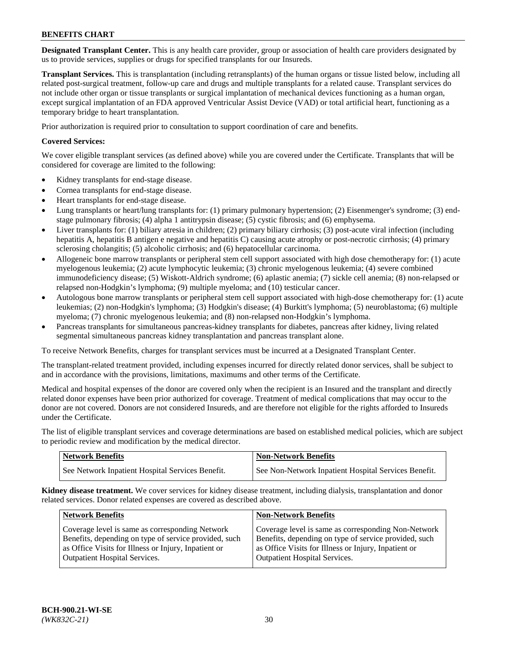**Designated Transplant Center.** This is any health care provider, group or association of health care providers designated by us to provide services, supplies or drugs for specified transplants for our Insureds.

**Transplant Services.** This is transplantation (including retransplants) of the human organs or tissue listed below, including all related post-surgical treatment, follow-up care and drugs and multiple transplants for a related cause. Transplant services do not include other organ or tissue transplants or surgical implantation of mechanical devices functioning as a human organ, except surgical implantation of an FDA approved Ventricular Assist Device (VAD) or total artificial heart, functioning as a temporary bridge to heart transplantation.

Prior authorization is required prior to consultation to support coordination of care and benefits.

# **Covered Services:**

We cover eligible transplant services (as defined above) while you are covered under the Certificate. Transplants that will be considered for coverage are limited to the following:

- Kidney transplants for end-stage disease.
- Cornea transplants for end-stage disease.
- Heart transplants for end-stage disease.
- Lung transplants or heart/lung transplants for: (1) primary pulmonary hypertension; (2) Eisenmenger's syndrome; (3) endstage pulmonary fibrosis; (4) alpha 1 antitrypsin disease; (5) cystic fibrosis; and (6) emphysema.
- Liver transplants for: (1) biliary atresia in children; (2) primary biliary cirrhosis; (3) post-acute viral infection (including hepatitis A, hepatitis B antigen e negative and hepatitis C) causing acute atrophy or post-necrotic cirrhosis; (4) primary sclerosing cholangitis; (5) alcoholic cirrhosis; and (6) hepatocellular carcinoma.
- Allogeneic bone marrow transplants or peripheral stem cell support associated with high dose chemotherapy for: (1) acute myelogenous leukemia; (2) acute lymphocytic leukemia; (3) chronic myelogenous leukemia; (4) severe combined immunodeficiency disease; (5) Wiskott-Aldrich syndrome; (6) aplastic anemia; (7) sickle cell anemia; (8) non-relapsed or relapsed non-Hodgkin's lymphoma; (9) multiple myeloma; and (10) testicular cancer.
- Autologous bone marrow transplants or peripheral stem cell support associated with high-dose chemotherapy for: (1) acute leukemias; (2) non-Hodgkin's lymphoma; (3) Hodgkin's disease; (4) Burkitt's lymphoma; (5) neuroblastoma; (6) multiple myeloma; (7) chronic myelogenous leukemia; and (8) non-relapsed non-Hodgkin's lymphoma.
- Pancreas transplants for simultaneous pancreas-kidney transplants for diabetes, pancreas after kidney, living related segmental simultaneous pancreas kidney transplantation and pancreas transplant alone.

To receive Network Benefits, charges for transplant services must be incurred at a Designated Transplant Center.

The transplant-related treatment provided, including expenses incurred for directly related donor services, shall be subject to and in accordance with the provisions, limitations, maximums and other terms of the Certificate.

Medical and hospital expenses of the donor are covered only when the recipient is an Insured and the transplant and directly related donor expenses have been prior authorized for coverage. Treatment of medical complications that may occur to the donor are not covered. Donors are not considered Insureds, and are therefore not eligible for the rights afforded to Insureds under the Certificate.

The list of eligible transplant services and coverage determinations are based on established medical policies, which are subject to periodic review and modification by the medical director.

| <b>Network Benefits</b>                          | <b>Non-Network Benefits</b>                            |
|--------------------------------------------------|--------------------------------------------------------|
| See Network Inpatient Hospital Services Benefit. | I See Non-Network Inpatient Hospital Services Benefit. |

**Kidney disease treatment.** We cover services for kidney disease treatment, including dialysis, transplantation and donor related services. Donor related expenses are covered as described above.

| <b>Network Benefits</b>                                                                                  | <b>Non-Network Benefits</b>                                                                                  |
|----------------------------------------------------------------------------------------------------------|--------------------------------------------------------------------------------------------------------------|
| Coverage level is same as corresponding Network<br>Benefits, depending on type of service provided, such | Coverage level is same as corresponding Non-Network<br>Benefits, depending on type of service provided, such |
| as Office Visits for Illness or Injury, Inpatient or<br><b>Outpatient Hospital Services.</b>             | as Office Visits for Illness or Injury, Inpatient or<br><b>Outpatient Hospital Services.</b>                 |
|                                                                                                          |                                                                                                              |